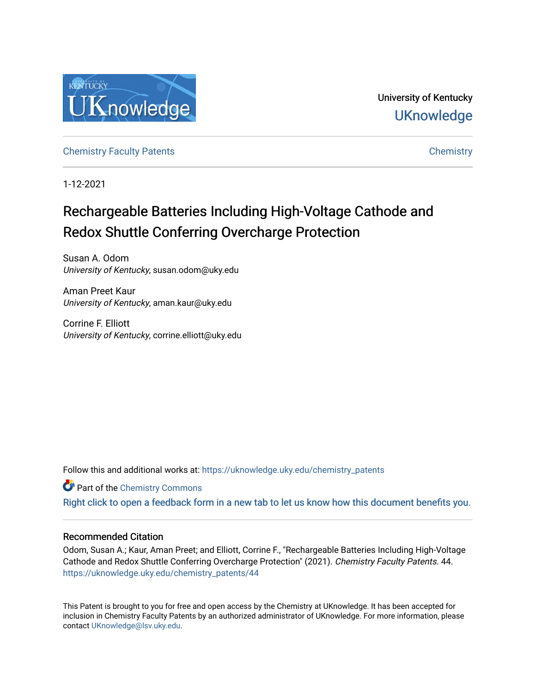

University of Kentucky **UKnowledge** 

[Chemistry Faculty Patents](https://uknowledge.uky.edu/chemistry_patents) **Chemistry** Chemistry

1-12-2021

# Rechargeable Batteries Including High-Voltage Cathode and Redox Shuttle Conferring Overcharge Protection

Susan A. Odom University of Kentucky, susan.odom@uky.edu

Aman Preet Kaur University of Kentucky, aman.kaur@uky.edu

Corrine F. Elliott University of Kentucky, corrine.elliott@uky.edu

Follow this and additional works at: [https://uknowledge.uky.edu/chemistry\\_patents](https://uknowledge.uky.edu/chemistry_patents?utm_source=uknowledge.uky.edu%2Fchemistry_patents%2F44&utm_medium=PDF&utm_campaign=PDFCoverPages)

**C** Part of the Chemistry Commons

[Right click to open a feedback form in a new tab to let us know how this document benefits you.](https://uky.az1.qualtrics.com/jfe/form/SV_9mq8fx2GnONRfz7)

# Recommended Citation

Odom, Susan A.; Kaur, Aman Preet; and Elliott, Corrine F., "Rechargeable Batteries Including High-Voltage Cathode and Redox Shuttle Conferring Overcharge Protection" (2021). Chemistry Faculty Patents. 44. [https://uknowledge.uky.edu/chemistry\\_patents/44](https://uknowledge.uky.edu/chemistry_patents/44?utm_source=uknowledge.uky.edu%2Fchemistry_patents%2F44&utm_medium=PDF&utm_campaign=PDFCoverPages) 

This Patent is brought to you for free and open access by the Chemistry at UKnowledge. It has been accepted for inclusion in Chemistry Faculty Patents by an authorized administrator of UKnowledge. For more information, please contact [UKnowledge@lsv.uky.edu](mailto:UKnowledge@lsv.uky.edu).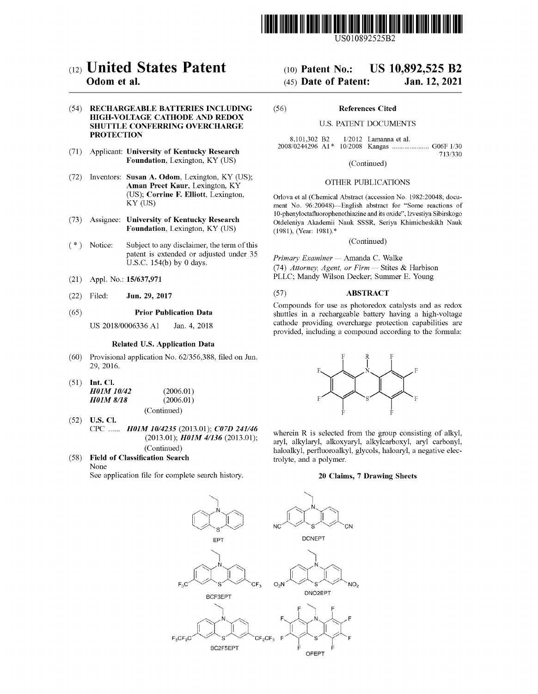

US010892525B2

# c12) **United States Patent**

# **Odom et al.**

#### (54) **RECHARGEABLE BATTERIES INCLUDING HIGH-VOLTAGE CATHODE AND REDOX SHUTTLE CONFERRING OVERCHARGE PROTECTION**

- (71) Applicant: **University of Kentucky Research Foundation,** Lexington, KY (US)
- (72) Inventors: **Susan A. Odom,** Lexington, KY (US); **Aman Preet Kaur,** Lexington, KY (US); **Corrine F. Elliott,** Lexington, KY (US)
- (73) Assignee: **University of Kentucky Research Foundation,** Lexington, KY (US)
- $(*)$  Notice: Subject to any disclaimer, the term of this patent is extended or adjusted under 35 U.S.C. 154(b) by O days.
- (21) Appl. No.: **15/637,971**
- (22) Filed: **Jun. 29, 2017**

#### (65) **Prior Publication Data**

US 2018/0006336 Al Jan. 4, 2018

#### **Related U.S. Application Data**

- (60) Provisional application No. 62/356,388, filed on Jun. 29, 2016.
- (51) **Int. Cl.**

| <b>H01M 10/42</b> |  | (2006.01) |
|-------------------|--|-----------|
| <b>HO1M 8/18</b>  |  | (2006.01) |
|                   |  |           |

(Continued)

- (52) **U.S. Cl.**  CPC ...... *H0lM 1014235* (2013.01); *C07D 241146*  (2013.01); *H0lM 41136* (2013.01); (Continued)
- ( 58) **Field of Classification Search** 
	- None

See application file for complete search history.

# (IO) **Patent No.: US 10,892,525 B2**  (45) **Date of Patent: Jan.12,2021**

# (56) **References Cited**

### U.S. PATENT DOCUMENTS

8,101,302 B2 1/2012 Lamanna et al.<br>2008/0244296 A1\* 10/2008 Kangas ......... 10/2008 Kangas ..................... G06F 1/30 713/330

(Continued)

#### OTHER PUBLICATIONS

Orlova et al (Chemical Abstract (accession No. 1982:20048; document No. 96:20048)-English abstract for "Some reactions of 10-phenyloctafluorophenothiazine and its oxide", Izvestiya Sibirskogo Otdeleniya Akademii Nauk SSSR, Seriya Khimicheskikh Nauk (1981), (Year: 1981).\*

(Continued)

*Primary Examiner* - Amanda C. Walke (74) *Attorney, Agent, or Firm* - Stites & Harbison PLLC; Mandy Wilson Decker; Summer E. Young

#### (57) **ABSTRACT**

Compounds for use as photoredox catalysts and as redox shuttles in a rechargeable battery having a high-voltage cathode providing overcharge protection capabilities are provided, including a compound according to the formula:



wherein R is selected from the group consisting of alkyl, aryl, alkylaryl, alkoxyaryl, alkylcarboxyl, aryl carbonyl, haloalkyl, perfluoroalkyl, glycols, haloaryl, a negative electrolyte, and a polymer.

#### **20 Claims, 7 Drawing Sheets**

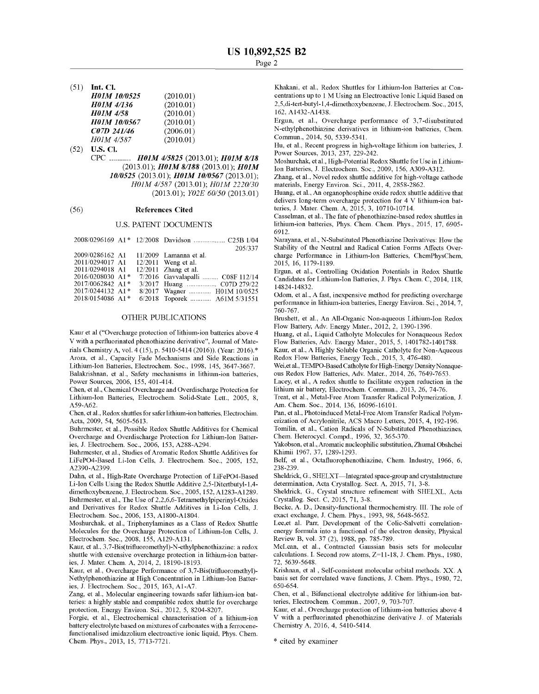(51) **Int. Cl.** 

| <b>H01M 10/0525</b> | (2010.01) |
|---------------------|-----------|
| <b>H01M 4/136</b>   | (2010.01) |
| <b>H01M 4/58</b>    | (2010.01) |
| <b>H01M 10/0567</b> | (2010.01) |
| C07D 241/46         | (2006.01) |
| H01M 4/587          | (2010.01) |

(52) **U.S. Cl.**  CPC *H0lM 415825* (2013.01); *H0lM 8/18*  (2013.01); *H0lM 8/188* (2013.01); *H0lM 1010525* (2013.01); *H0lM 1010567* (2013.01); *H0JM 4/587* (2013.01); *H0JM 2220/30*  (2013.01); *Y02E 60/50* (2013.01)

#### (56) **References Cited**

#### U.S. PATENT DOCUMENTS

|                                | 205/337                          |
|--------------------------------|----------------------------------|
| 2009/0286162 A1                | $11/2009$ Lamanna et al.         |
| 2011/0294017 A1                | $12/2011$ Weng et al.            |
| 2011/0294018 A1                | $12/2011$ Zhang et al.           |
| $2016/0208030$ A1 <sup>*</sup> | 7/2016 Gavvalapalli  C08F 112/14 |
| 2017/0062842 A1*               | 3/2017 Huang  C07D 279/22        |
| 2017/0244132 A1*               | 8/2017 Wagner  H01M 10/0525      |
| 2018/0154086 A1*               | 6/2018 Toporek  A61M 5/31551     |
|                                |                                  |

#### OTHER PUBLICATIONS

Kaur et al ("Overcharge protection of lithium-ion batteries above 4 V with a perfluorinated phenothiazine derivative", Journal of Materials Chemistry A, vol. 4 (15), p. 5410-5414 (2016)). (Year: 2016).\* Arora, et al., Capacity Fade Mechanisms and Side Reactions in Lithium-Ion Batteries, Electrochem. Soc., 1998, 145, 3647-3667. Balakrishnan, et al., Safety mechanisms in lithium-ion batteries, Power Sources, 2006, 155, 401-414.

Chen, et al., Chemical Overcharge and Overdischarge Protection for Lithium-Ion Batteries, Electrochem. Solid-State Lett., 2005, 8, A59-A62.

Chen, et al., Redox shuttles for safer lithium-ion batteries, Electrochim. Acta, 2009, 54, 5605-5613.

Buhrmester, et al., Possible Redox Shuttle Additives for Chemical Overcharge and Overdischarge Protection for Lithium-Ion Batteries, J. Electrochem. Soc., 2006, 153, A288-A294.

Buhrmester, et al., Studies of Aromatic Redox Shuttle Additives for LiFePO4-Based Li-Ion Cells, J. Electrochem. Soc., 2005, 152, A2390-A2399.

Dahn, et al., High-Rate Overcharge Protection of LiFePO4-Based Li-Ion Cells Using the Redox Shuttle Additive 2,5-Ditertbutyl-1,4 dimethoxybenzene, J. Electrochem. Soc., 2005, 152, Al283-Al289. Buhrmester, et al., The Use of 2,2,6,6-Tetramethylpiperinyl-Oxides and Derivatives for Redox Shuttle Additives in Li-Ion Cells, J. Electrochem. Soc., 2006, 153, Al800-Al804.

Moshurchak, et al., Triphenylamines as a Class of Redox Shuttle Molecules for the Overcharge Protection of Lithium-Ion Cells, J. Electrochem. Soc., 2008, 155, Al29-Al31.

Kaur, et al., 3,7-Bis(trifluoromethyl)-N-ethylphenothiazine: a redox shuttle with extensive overcharge protection in lithium-ion batteries, J. Mater. Chem. A, 2014, 2, 18190-18193.

Kaur, et al., Overcharge Performance of 3,7-Bis(trifluoromethyl)- Nethylphenothiazine at High Concentration in Lithium-Ion Batteries, J. Electrochem. Soc., 2015, 163, Al-A7.

Zang, et al., Molecular engineering towards safer lithium-ion batteries: a highly stable and compatible redox shuttle for overcharge protection, Energy Environ. Sci., 2012, 5, 8204-8207.

Forgie, et al., Electrochemical characterisation of a lithium-ion battery electrolyte based on mixtures of carbonates with a ferrocenefunctionalised imidazolium electroactive ionic liquid, Phys. Chem. Chem. Phys., 2013, 15, 7713-7721.

Khakani, et al., Redox Shuttles for Lithium-Ion Batteries at Concentrations up to 1 M Using an Electroactive Ionic Liquid Based on 2,5,di-tert-butyl-1,4-dimethoxybenzene, J. Electrochem. Soc., 2015, 162, Al432-Al438.

Ergun, et al., Overcharge performance of 3,7-disubstituted N-ethylphenothiazine derivatives in lithium-ion batteries, Chem. Commun., 2014, 50, 5339-5341.

Hu, et al., Recent progress in high-voltage lithium ion batteries, J. Power Sources, 2013, 237, 229-242.

Moshurchak, et al., High-Potential Redox Shuttle for Use in Lithium-Ion Batteries, J. Electrochem. Soc., 2009, 156, A309-A312.

Zhang, et al., Novel redox shuttle additive for high-voltage cathode materials, Energy Environ. Sci., 2011, 4, 2858-2862.

Huang, et al., An organophosphine oxide redox shuttle additive that delivers long-term overcharge protection for 4 V lithium-ion batteries, J. Mater. Chem. A, 2015, 3, 10710-10714.

Casselman, et al., The fate of phenothiazine-based redox shuttles in lithium-ion batteries, Phys. Chem. Chem. Phys., 2015, 17, 6905- 6912.

Narayana, et al., N-Substituted Phenothiazine Derivatives: How the Stability of the Neutral and Radical Cation Forms Affects Overcharge Performance in Lithium-Ion Batteries, ChemPhysChem, 2015, 16, 1179-1189.

Ergun, et al., Controlling Oxidation Potentials in Redox Shuttle Candidates for Lithium-Ion Batteries, J. Phys. Chem. C, 2014, 118, 14824-14832.

Odom, et al., A fast, inexpensive method for predicting overcharge performance in lithium-ion batteries, Energy Environ. Sci., 2014, 7, 760-767.

Brushett, et al., An All-Organic Non-aqueous Lithium-Ion Redox Flow Battery, Adv. Energy Mater., 2012, 2, 1390-1396.

Huang, et al., Liquid Catholyte Molecules for Nonaqueous Redox Flow Batteries, Adv. Energy Mater., 2015, 5, 1401782-1401788.

Kaur, et al., A Highly Soluble Organic Catholyte for Non-Aqueous Redox Flow Batteries, Energy Tech., 2015, 3, 476-480.

Wei,et al., TEMPO-Based Catholyte for High-Energy Density Nonaqueous Redox Flow Batteries, Adv. Mater., 2014, 26, 7649-7653.

Lacey, et al., A redox shuttle to facilitate oxygen reduction in the lithium air battery, Electrochem. Commun., 2013, 26, 74-76.

Treat, et al., Metal-Free Atom Transfer Radical Polymerization, J. Am. Chem. Soc., 2014, 136, 16096-16101.

Pan, et al., Photoinduced Metal-Free Atom Transfer Radical Polymerization of Acrylonitrile, ACS Macro Letters, 2015, 4, 192-196.

Tomilin, et al., Cation Radicals of N-Substituted Phenothiazines, Chem. Heterocycl. Compd., 1996, 32, 365-370.

Yakobson, et al., Aromatic nucleophilic substitution, Zhumal Obshchei Khimii 1967, 37, 1289-1293.

Belf, et al., Octafluorophenothiazine, Chem. Industry, 1966, 6, 238-239.

Sheldrick, G., SHELXT-Integrated space-group and crystalstructure determination, Acta Crystallog. Sect. A, 2015, 71, 3-8.

Sheldrick, G., Crystal structure refinement with SHELXL, Acta Crystallog. Sect. C, 2015, 71, 3-8.

Becke, A. D., Density-functional thermochemistry. III. The role of exact exchange, J. Chem. Phys., 1993, 98, 5648-5652.

Lee,et al. Parr, Development of the Colic-Salvetti correlationenergy formula into a functional of the electron density, Physical Review B, vol. 37 (2), 1988, pp. 785-789.

McLean, et al., Contracted Gaussian basis sets for molecular calculations. I. Second row atoms, Z=11-18, J. Chem. Phys., 1980, 72, 5639-5648.

Krishnan, et al , Self-consistent molecular orbital methods. **XX. A**  basis set for correlated wave functions, J. Chem. Phys., 1980, 72, 650-654.

Chen, et al., Bifunctional electrolyte additive for lithium-ion batteries, Electrochem. Commun., 2007, 9, 703-707.

Kaur, et al., Overcharge protection of lithium-ion batteries above 4 V with a perfluorinated phenothiazine derivative J. of Materials Chemistry A, 2016, 4, 5410-5414.

\* cited by examiner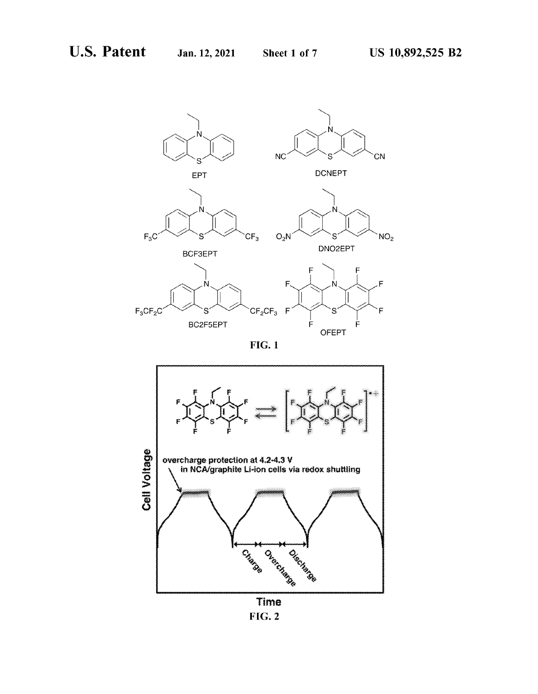$NO<sub>2</sub>$ 





**FIG.1** 



**FlG. 2**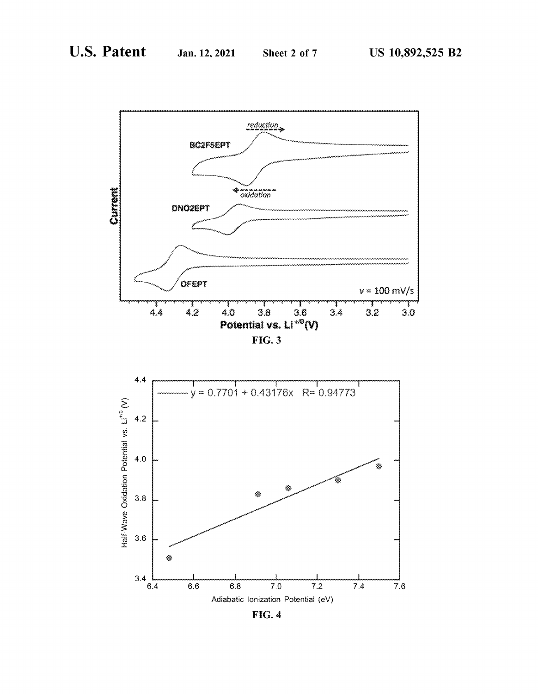



**FIG. 4**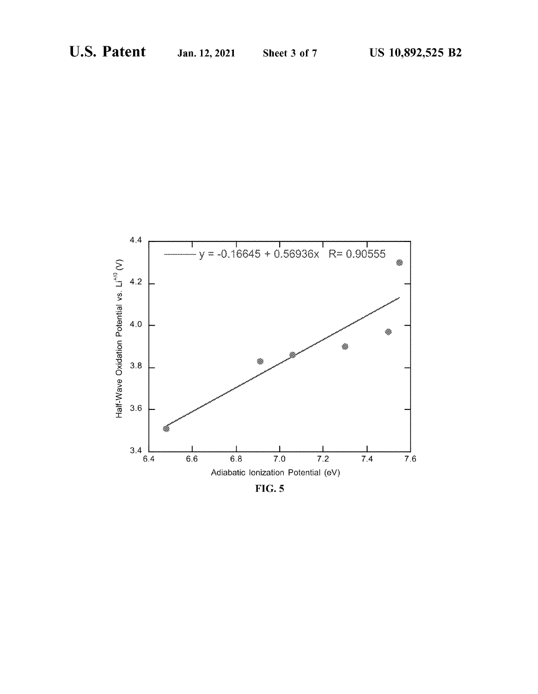

**FIG. 5**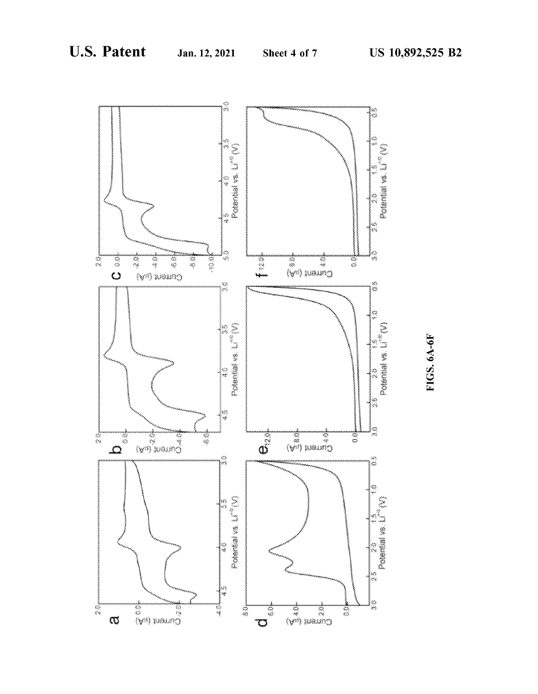

FIGS. 6A-6F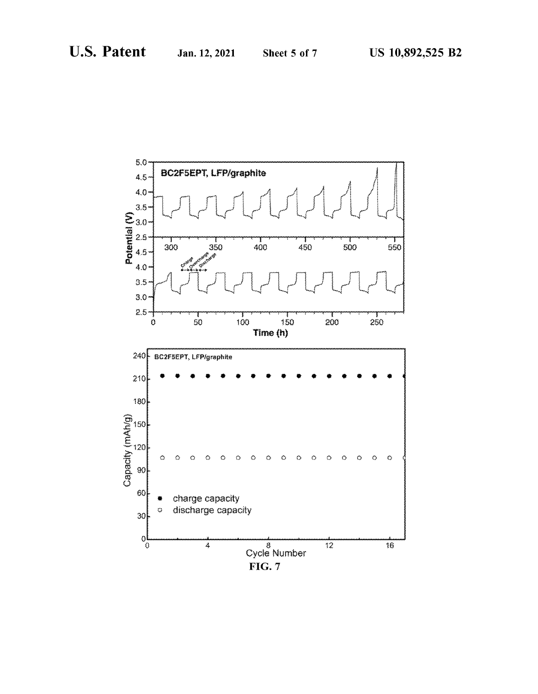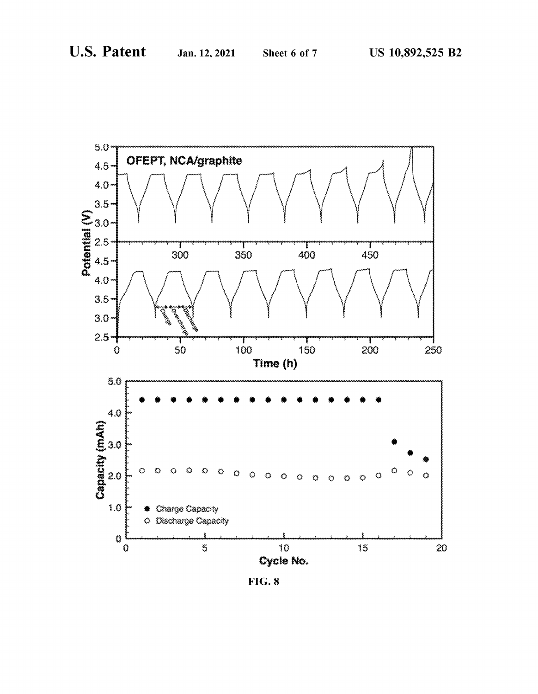

**FIG. 8**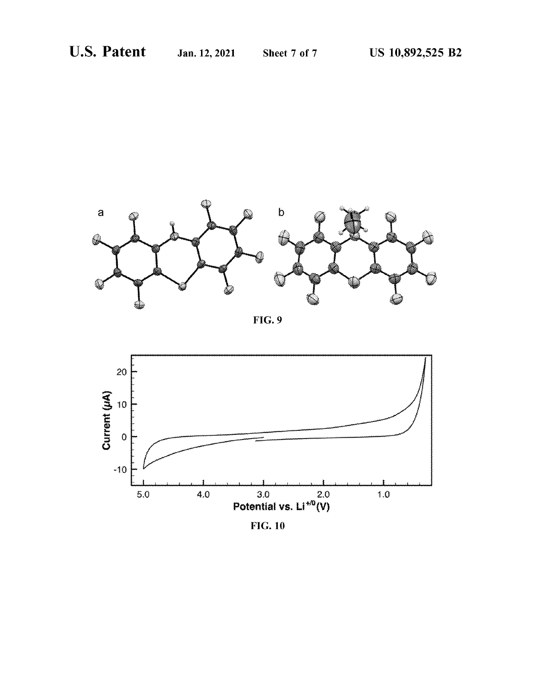





**FIG.10**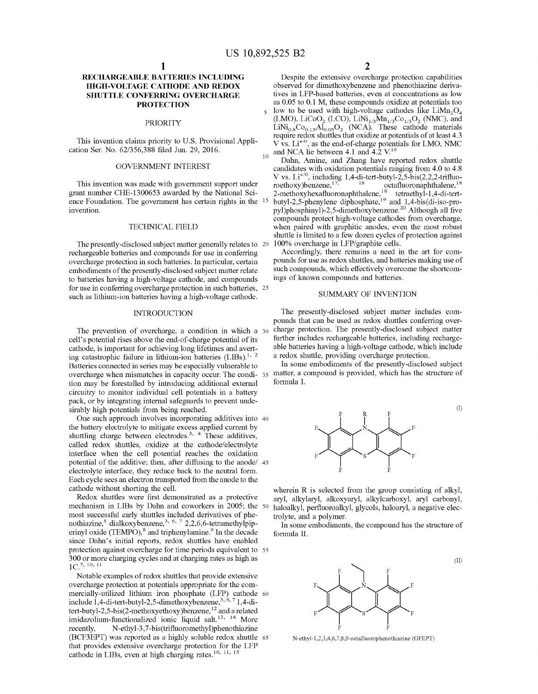### **RECHARGEABLE BATTERIES INCLUDING HIGH-VOLTAGE CATHODE AND REDOX SHUTTLE CONFERRING OVERCHARGE PROTECTION**

#### PRIORITY

This invention claims priority to U.S. Provisional Application Ser. No. 62/356,388 filed Jun. 29, 2016.

#### GOVERNMENT INTEREST

This invention was made with govermnent support under grant number CHE-1300653 awarded by the National Science Foundation. The government has certain rights in the <sup>15</sup> invention.

#### TECHNICAL FIELD

The presently-disclosed subject matter generally relates to 20 rechargeable batteries and compounds for use in conferring overcharge protection in such batteries. In particular, certain embodiments of the presently-disclosed subject matter relate to batteries having a high-voltage cathode, and compounds for use in conferring overcharge protection in such batteries, 25 such as lithium-ion batteries having a high-voltage cathode.

#### INTRODUCTION

The prevention of overcharge, a condition in which a  $30$ cell's potential rises above the end-of-charge potential of its cathode, is important for achieving long lifetimes and averting catastrophic failure in lithium-ion batteries  $(LIBs).<sup>1, 2</sup>$ Batteries connected in series may be especially vulnerable to overcharge when mismatches in capacity occur. The condi-35 matter, a compound is provided, which has the structure of tion may be forestalled by introducing additional external circuitry to monitor individual cell potentials in a battery pack, or by integrating internal safeguards to prevent undesirably high potentials from being reached.

One such approach involves incorporating additives into 40 the battery electrolyte to mitigate excess applied current by shuttling charge between electrodes.<sup>3, 4</sup> These additives, called redox shuttles, oxidize at the cathode/electrolyte interface when the cell potential reaches the oxidation potential of the additive; then, after diffusing to the anode/ 45 electrolyte interface, they reduce back to the neutral form. Each cycle sees an electron transported from the anode to the cathode without shorting the cell.

Redox shuttles were first demonstrated as a protective mechanism in LIBs by Dahn and coworkers in 2005; the 50 most successful early shuttles included derivatives of phenothiazine, $5$  dialkoxybenzene, $3, 6, 7, 2, 2, 6, 6$ -tetramethylpiperinyl oxide (TEMPO),<sup>8</sup> and triphenylamine.<sup>9</sup> In the decade since Dahn's initial reports, redox shuttles have enabled protection against overcharge for time periods equivalent to 55 300 or more charging cycles and at charging rates as high as  $1C^{7, 10, 11}$ 

Notable examples of redox shuttles that provide extensive overcharge protection at potentials appropriate for the commercially-utilized lithium iron phosphate (LFP) cathode 60 include  $1,4$ -di-tert-butyl-2,5-dimethoxybenzene, $3,6,7$  1,4-ditert-butyl-2,5-bis(2-methoxyethoxy)benzene,<sup>12</sup> and a related imidazolium-functionalized ionic liquid salt.<sup>13, 14</sup> More recently, N-ethyl-3,7-bis(trifluoromethyl)phenothiazine (BCF3EPT) was reported as a highly soluble redox shuttle 65 that provides extensive overcharge protection for the LFP cathode in LIBs, even at high charging rates.<sup>10, 11, 15</sup>

Despite the extensive overcharge protection capabilities observed for dimethoxybenzene and phenothiazine derivatives in LFP-based batteries, even at concentrations as low as 0.05 to 0.1 M, these compounds oxidize at potentials too  $_5$  low to be used with high-voltage cathodes like LiMn<sub>2</sub>O<sub>4</sub> (LMO), LiCoO<sub>2</sub> (LCO), LiNi<sub>1/3</sub>Mn<sub>1/3</sub>Co<sub>1/3</sub>O<sub>2</sub> (NMC), and  $LiNi<sub>0.8</sub>Co<sub>0.15</sub>Al<sub>0.05</sub>O<sub>2</sub> (NCA).$  These cathode materials require redox shuttles that oxidize at potentials of at least 4.3  $V$  vs.  $Li^{+/0}$ , as the end-of-charge potentials for LMO, NMC

and NCA lie between 4.1 and  $4.\overline{2}$  V.<sup>16</sup> Dahn, Amine, and Zhang have reported redox shuttle candidates with oxidation potentials ranging from 4.0 to 4.8 V vs.  $Li^{+/0}$ , including 1,4-di-tert-butyl-2,5-bis(2,2,2-trifluo-roethoxy)benzene, $17$ <sup>18</sup> octafluoronaphthalene,  $18$ 2-methoxyhexafluoronaphthalene,<sup>18</sup> tetraethyl-1,4-di-tertbutyl-2,5-phenylene diphosphate,<sup>19</sup> and  $1,4$ -bis(di-iso-propyl)phosphinyl)-2,5-dimethoxybenzene.20 Although all five compounds protect high-voltage cathodes from overcharge, when paired with graphitic anodes, even the most robust shuttle is limited to a few dozen cycles of protection against 20 100% overcharge in LFP/graphite cells.

Accordingly, there remains a need in the art for compounds for use as redox shuttles, and batteries making use of such compounds, which effectively overcome the shortcomings of known compounds and batteries.

#### SUMMARY OF INVENTION

The presently-disclosed subject matter includes compounds that can be used as redox shuttles conferring overcharge protection. The presently-disclosed subject matter further includes rechargeable batteries, including rechargeable batteries having a high-voltage cathode, which include a redox shuttle, providing overcharge protection.

In some embodiments of the presently-disclosed subject formula I.



wherein R is selected from the group consisting of alkyl, aryl, alkylaryl, alkoxyaryl, alkylcarboxyl, aryl carbonyl, haloalkyl, perfluoroalkyl, glycols, haloaryl, a negative electrolyte, and a polymer.

In some embodiments, the compound has the structure of formula II.



N-ethyl-1,2,3,4,6,7,8,9-octafluorophenothiazine (OFEPT)

(II)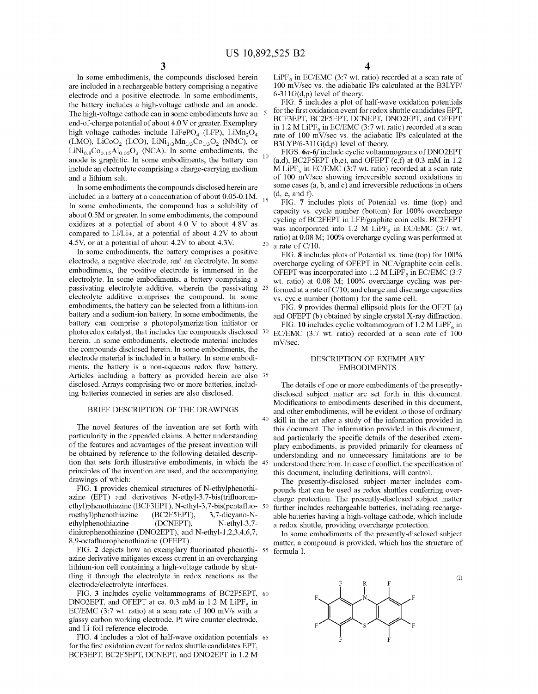In some embodiments, the compounds disclosed herein are included in a rechargeable battery comprising a negative electrode and a positive electrode. In some embodiments, the battery includes a high-voltage cathode and an anode. The high-voltage cathode can in some embodiments have an 5 end-of-charge potential of about 4.0 V or greater. Exemplary high-voltage cathodes include LiFePO<sub>4</sub> (LFP), LiMn<sub>2</sub>O<sub>4</sub> (LMO), LiCoO<sub>2</sub> (LCO), LiNi<sub>1/3</sub>Mn<sub>1/3</sub>Co<sub>1/3</sub>O<sub>2</sub> (NMC), or LiNi<sub>0.8</sub>Co<sub>0.15</sub>Al<sub>0.05</sub>O<sub>2</sub> (NCA). In some embodiments, the anode is graphitic. In some embodiments, the battery can <sup>10</sup> include an electrolyte comprising a charge-carrying medium and a lithium salt.

In some embodiments the compounds disclosed herein are included in a battery at a concentration of about 0.05-0.1M.  $_{15}$ In some embodiments, the compound has a solubility of about 0.5M or greater. In some embodiments, the compound oxidizes at a potential of about 4.0 V to about 4.8V as compared to Li/Li+, at a potential of about 4.2V to about 4.5V, or at a potential of about 4.2V to about 4.3V.  $\qquad 20$  a rate of C/10.

In some embodiments, the battery comprises a positive electrode, a negative electrode, and an electrolyte. In some embodiments, the positive electrode is immersed in the electrolyte. In some embodiments, a battery comprising a passivating electrolyte additive, wherein the passivating 25 electrolyte additive comprises the compound. In some embodiments, the battery can be selected from a lithium-ion battery and a sodium-ion battery. In some embodiments, the battery can comprise a photopolymerization initiator or photoredox catalyst, that includes the compounds disclosed 30 herein. In some embodiments, electrode material includes the compounds disclosed herein. In some embodiments, the electrode material is included in a battery. In some embodiments, the battery is a non-aqueous redox flow battery. Articles including a battery as provided herein are also 35 disclosed. Arrays comprising two or more batteries, including batteries connected in series are also disclosed.

#### BRIEF DESCRIPTION OF THE DRAWINGS

The novel features of the invention are set forth with particularity in the appended claims. A better understanding of the features and advantages of the present invention will be obtained by reference to the following detailed description that sets forth illustrative embodiments, in which the principles of the invention are used, and the accompanying drawings of which:

FIG. **1** provides chemical structures of N-ethylphenothiazine (EPT) and derivatives N-ethyl-3,7-bis(trifluoromethyl)phenothiazine (BCF3EPT), N-ethyl-3,7-bis(pentafluoroethyl)phenothiazine (BC2F5EPT), 3,7-dicyano-Nethylphenothiazine (DCNEPT), N-ethyl-3,7dinitrophenothiazine (DNO2EPT), and N-ethyl-1,2,3,4,6,7, 8,9-octafluorophenothiazine (OFEPT).

FIG. **2** depicts how an exemplary fluorinated phenothiazine derivative mitigates excess current in an overcharging lithium-ion cell containing a high-voltage cathode by shuttling it through the electrolyte in redox reactions as the electrode/electrolyte interfaces.

FIG. **3** includes cyclic voltammograms of BC2F5EPT, 60 DNO2EPT, and OFEPT at ca. 0.3 mM in 1.2 M LiPF $_6$  in EC/EMC (3:7 wt. ratio) at a scan rate of 100 mV/s with a glassy carbon working electrode, Pt wire counter electrode, and Li foil reference electrode.

FIG. **4** includes a plot of half-wave oxidation potentials 65 for the first oxidation event for redox shuttle candidates EPT, BCF3EPT, BC2F5EPT, DCNEPT, and DNO2EPT in 1.2 M

LiPF<sub>6</sub> in EC/EMC (3:7 wt. ratio) recorded at a scan rate of 100 mV/sec vs. the adiabatic IPs calculated at the B3LYP/  $6-311G(d,p)$  level of theory.

FIG. **5** includes a plot of half-wave oxidation potentials for the first oxidation event for redox shuttle candidates EPT, BCF3EPT, BC2F5EPT, DCNEPT, DNO2EPT, and OFEPT in 1.2 M LiPF<sub>6</sub> in EC/EMC (3:7 wt. ratio) recorded at a scan rate of 100 mV/sec vs. the adiabatic IPs calculated at the B3LYP/6-311G(d,p) level of theory.

FIGS. 6a-6f include cyclic voltammograms of DNO2EPT  $(a,d)$ , BC2F5EPT  $(b,e)$ , and OFEPT  $(c,f)$  at 0.3 mM in 1.2 M LiPF<sub>6</sub> in EC/EMC (3:7 wt. ratio) recorded at a scan rate of 100 mV/sec showing irreversible second oxidations in some cases (a, b, and c) and irreversible reductions in others (d, e, and f).

FIG. **7** includes plots of Potential vs. time (top) and capacity vs. cycle number (bottom) for 100% overcharge cycling of BC2FEPT in LFP/graphite coin cells. BC2FEPT was incorporated into 1.2 M LiPF<sub>6</sub> in EC/EMC (3:7 wt. ratio) at 0.08 M; 100% overcharge cycling was performed at

FIG. **8** includes plots of Potential vs. time (top) for 100% overcharge cycling of OFEPT in NCA/graphite coin cells. OFEPT was incorporated into 1.2 M LiPF<sub>6</sub> in EC/EMC (3:7) wt. ratio) at 0.08 M; 100% overcharge cycling was performed at a rate of  $C/10$ ; and charge and discharge capacities vs. cycle number (bottom) for the same cell.

FIG. **9** provides thermal ellipsoid plots for the OFPT (a) and OFEPT  $(b)$  obtained by single crystal X-ray diffraction.

FIG. 10 includes cyclic voltammogram of  $1.2 M LiPF<sub>6</sub>$  in EC/EMC (3:7 wt. ratio) recorded at a scan rate of 100 mV/sec.

#### DESCRIPTION OF EXEMPLARY EMBODIMENTS

The details of one or more embodiments of the presentlydisclosed subject matter are set forth in this document. Modifications to embodiments described in this document, and other embodiments, will be evident to those of ordinary 40 skill in the art after a study of the information provided in this document. The information provided in this document, and particularly the specific details of the described exemplary embodiments, is provided primarily for clearness of understanding and no unnecessary limitations are to be understood therefrom. In case of conflict, the specification of this document, including definitions, will control.

The presently-disclosed subject matter includes compounds that can be used as redox shuttles conferring overcharge protection. The presently-disclosed subject matter further includes rechargeable batteries, including rechargeable batteries having a high-voltage cathode, which include a redox shuttle, providing overcharge protection.

In some embodiments of the presently-disclosed subject matter, a compound is provided, which has the structure of formula I.



(I)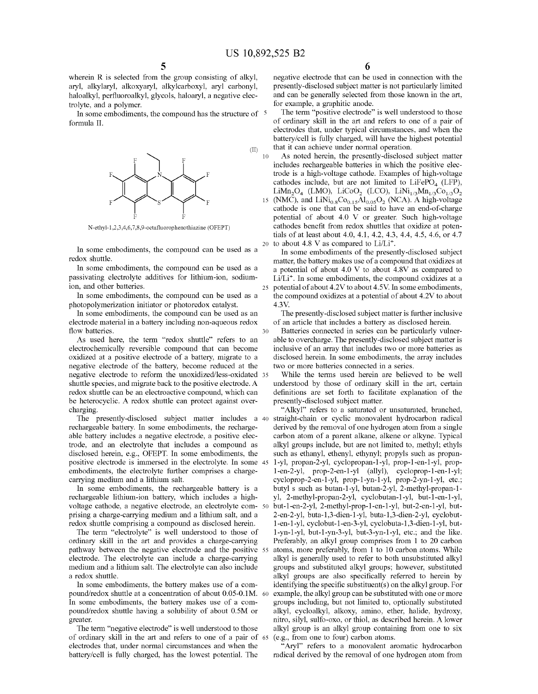(II)

wherein R is selected from the group consisting of alkyl, aryl, alkylaryl, alkoxyaryl, alkylcarboxyl, aryl carbonyl, haloalkyl, perfluoroalkyl, glycols, haloaryl, a negative electrolyte, and a polymer.

In some embodiments, the compound has the structure of  $5$ formula II.



N-ethyl-1,2,3 ,4,6, 7,8,9-octafluorophenothiazine (OFEPT)

In some embodiments, the compound can be used as a redox shuttle.

In some embodiments, the compound can be used as a passivating electrolyte additives for lithium-ion, sodiumion, and other batteries.

In some embodiments, the compound can be used as a photopolymerization initiator or photoredox catalyst.

In some embodiments, the compound can be used as an electrode material in a battery including non-aqueous redox flow batteries. 30

As used here, the term "redox shuttle" refers to an electrochemically reversible compound that can become oxidized at a positive electrode of a battery, migrate to a negative electrode of the battery, become reduced at the negative electrode to reform the unoxidized/less-oxidated 35 shuttle species, and migrate back to the positive electrode. A redox shuttle can be an electroactive compound, which can be heterocyclic. A redox shuttle can protect against overcharging.

The presently-disclosed subject matter includes a 40 rechargeable battery. In some embodiments, the rechargeable battery includes a negative electrode, a positive electrode, and an electrolyte that includes a compound as disclosed herein, e.g., OFEPT. In some embodiments, the positive electrode is immersed in the electrolyte. In some 45 embodiments, the electrolyte further comprises a chargecarrying medium and a lithium salt.

In some embodiments, the rechargeable battery is a rechargeable lithium-ion battery, which includes a highvoltage cathode, a negative electrode, an electrolyte com- 50 prising a charge-carrying medium and a lithium salt, and a redox shuttle comprising a compound as disclosed herein.

The term "electrolyte" is well understood to those of ordinary skill in the art and provides a charge-carrying pathway between the negative electrode and the positive 55 electrode. The electrolyte can include a charge-carrying medium and a lithium salt. The electrolyte can also include a redox shuttle.

pound/redox shuttle at a concentration of about 0.05-0.lM. In some embodiments, the battery makes use of a compound/redox shuttle having a solubility of about 0.5M or greater.

The term "negative electrode" is well understood to those of ordinary skill in the art and refers to one of a pair of electrodes that, under normal circumstances and when the battery/cell is fully charged, has the lowest potential. The

negative electrode that can be used in connection with the presently-disclosed subject matter is not particularly limited and can be generally selected from those known in the art, for example, a graphitic anode.

The term "positive electrode" is well understood to those of ordinary skill in the art and refers to one of a pair of electrodes that, under typical circumstances, and when the battery/cell is fully charged, will have the highest potential that it can achieve under normal operation.

10 As noted herein, the presently-disclosed subject matter includes rechargeable batteries in which the positive electrode is a high-voltage cathode. Examples of high-voltage cathodes include, but are not limited to LiFePO<sub>4</sub> (LFP), LiMn<sub>2</sub>O<sub>4</sub> (LMO), LiCoO<sub>2</sub> (LCO), LiNi<sub>1/3</sub>Mn<sub>1/3</sub>Co<sub>1/3</sub>O<sub>2</sub> F<br>
F<br>
As noted herein, the presently-disclosed subject matter<br>
includes rechargeable batteries in which the positive elec-<br>
trode is a high-voltage cathode. Examples of high-voltage<br>
cathodes include, but are not limited cathode is one that can be said to have an end-of-charge potential of about 4.0 V or greater. Such high-voltage cathodes benefit from redox shuttles that oxidize at potentials of at least about 4.0, 4.1, 4.2, 4.3, 4.4, 4.5, 4.6, or 4.7 20 to about 4.8 V as compared to  $Li/Li^{+}$ .

In some embodiments of the presently-disclosed subject matter, the battery makes use of a compound that oxidizes at a potential of about 4.0 V to about 4.8V as compared to Li/Li<sup>+</sup>. In some embodiments, the compound oxidizes at a 25 potential of about 4.2V to about 4.5V. In some embodiments, the compound oxidizes at a potential of about 4.2V to about 4.3V.

The presently-disclosed subject matter is further inclusive of an article that includes a battery as disclosed herein.

Batteries connected in series can be particularly vulnerable to overcharge. The presently-disclosed subject matter is inclusive of an array that includes two or more batteries as disclosed herein. In some embodiments, the array includes two or more batteries connected in a series.

While the terms used herein are believed to be well understood by those of ordinary skill in the art, certain definitions are set forth to facilitate explanation of the presently-disclosed subject matter.

"Alkyl" refers to a saturated or unsaturated, branched, straight-chain or cyclic monovalent hydrocarbon radical derived by the removal of one hydrogen atom from a single carbon atom of a parent alkane, alkene or alkyne. Typical alkyl groups include, but are not limited to, methyl; ethyls such as ethanyl, ethenyl, ethynyl; propyls such as propan-1-yl, propan-2-yl, cyclopropan-1-yl, prop-1-en-1-yl, propl-en-2-yl, prop-2-en-1-yl (ally!), cycloprop-1-en-1-yl; cycloprop-2-en-1-yl, prop-1-yn-1-yl, prop-2-yn-1-yl, etc.; butyl s such as butan-1-yl, butan-2-yl, 2-methyl-propan-1 yl, 2-methyl-propan-2-yl, cyclobutan-1-yl, but-l-en-1-yl, but-l-en-2-yl, 2-methyl-prop-1-en-1-yl, but-2-en-1-yl, but-2-en-2-yl, buta-1,3-dien-1-yl, buta-1,3-dien-2-yl, cyclobutl-en-1-yl, cyclobut-l-en-3-yl, cyclobuta-1,3-dien-1-yl, butl-yn-1-yl, but-l-yn-3-yl, but-3-yn-1-yl, etc.; and the like. Preferably, an alkyl group comprises from 1 to 20 carbon atoms, more preferably, from 1 to 10 carbon atoms. While alkyl is generally used to refer to both unsubstituted alkyl groups and substituted alkyl groups; however, substituted alkyl groups are also specifically referred to herein by In some embodiments, the battery makes use of a com- identifying the specific substituent(s) on the alkyl group. For example, the alkyl group can be substituted with one or more groups including, but not limited to, optionally substituted alkyl, cycloalkyl, alkoxy, amino, ether, halide, hydroxy, nitro, silyl, sulfo-oxo, or thiol, as described herein. A lower alkyl group is an alkyl group containing from one to six (e.g., from one to four) carbon atoms.

"Aryl" refers to a monovalent aromatic hydrocarbon radical derived by the removal of one hydrogen atom from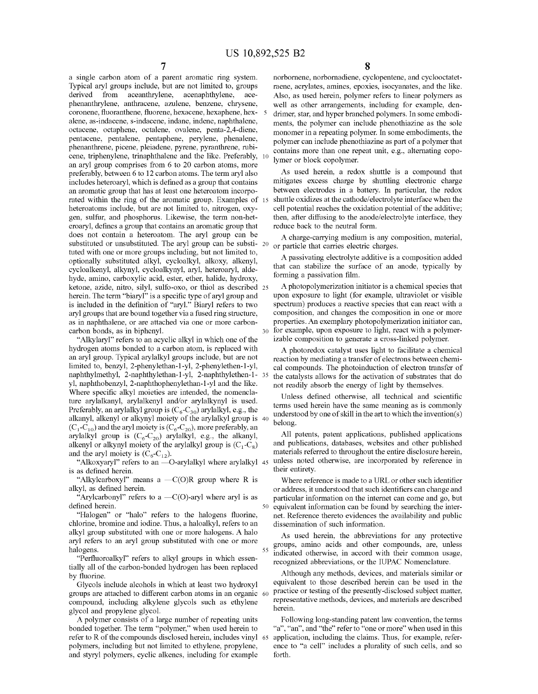a single carbon atom of a parent aromatic ring system. Typical aryl groups include, but are not limited to, groups derived from aceanthrylene, acenaphthylene, acephenanthrylene, anthracene, azulene, benzene, chrysene, coronene, fluoranthene, fluorene, hexacene, hexaphene, hex-5 alene, as-indacene, s-indacene, indane, indene, naphthalene, octacene, octaphene, octalene, ovalene, penta-2,4-diene, pentacene, pentalene, pentaphene, perylene, phenalene, phenanthrene, picene, pleiadene, pyrene, pyranthrene, rubicene, triphenylene, trinaphthalene and the like. Preferably, an aryl group comprises from 6 to 20 carbon atoms, more preferably, between 6 to 12 carbon atoms. The term aryl also includes heteroaryl, which is defined as a group that contains an aromatic group that has at least one heteroatom incorporated within the ring of the aromatic group. Examples of 15 heteroatoms include, but are not limited to, nitrogen, oxygen, sulfur, and phosphorus. Likewise, the term non-heteroaryl, defines a group that contains an aromatic group that does not contain a heteroatom. The aryl group can be substituted or unsubstituted. The aryl group can be substi- 20 tuted with one or more groups including, but not limited to, optionally substituted alkyl, cycloalkyl, alkoxy, alkenyl, cycloalkenyl, alkynyl, cycloalkynyl, aryl, heteroaryl, aldehyde, amino, carboxylic acid, ester, ether, halide, hydroxy, ketone, azide, nitro, silyl, sulfo-oxo, or thiol as described 25 herein. The term "biaryl" is a specific type of aryl group and is included in the definition of "aryl." Biaryl refers to two aryl groups that are bound together via a fused ring structure, as in naphthalene, or are attached via one or more carbon- properties. An exemplary photopolymerization initiator can, carbon bonds, as in biphenyl.

"Alkylaryl" refers to an acyclic alkyl in which one of the hydrogen atoms bonded to a carbon atom, is replaced with an aryl group. Typical arylalkyl groups include, but are not limited to, benzyl, 2-phenylethan-1-yl, 2-phenylethen-1-yl, naphthylmethyl, 2-naphthylethan-1-yl, 2-naphthylethen-1- 35 yl, naphthobenzyl, 2-naphthophenylethan-1-yl and the like. Where specific alkyl moieties are intended, the nomenclature arylalkanyl, arylalkenyl and/or arylalkynyl is used. Preferably, an arylalkyl group is  $(C_6-C_{30})$  arylalkyl, e.g., the alkanyl, alkenyl or alkynyl moiety of the arylalkyl group is 40  $(C_1-C_{10})$  and the aryl moiety is  $(C_6-C_{20})$ , more preferably, an arylalkyl group is  $(C_6-C_{20})$  arylalkyl, e.g., the alkanyl, alkenyl or alkynyl moiety of the arylalkyl group is  $(C_1 - C_8)$ and the aryl moiety is  $(C_6-C_{12})$ .

"Alkoxyaryl" refers to an ---O-arylalkyl where arylalkyl 45 is as defined herein.

"Alkylcarboxyl" means a  $-C(O)R$  group where R is alkyl, as defined herein.

"Arylcarbonyl" refers to a  $-C(O)$ -aryl where aryl is as defined herein.

"Halogen" or "halo" refers to the halogens fluorine, chlorine, bromine and iodine. Thus, a haloalkyl, refers to an alkyl group substituted with one or more halogens. A halo aryl refers to an aryl group substituted with one or more halogens.

"Perfluoroalkyl" refers to alkyl groups in which essentially all of the carbon-bonded hydrogen has been replaced by fluorine.

Glycols include alcohols in which at least two hydroxyl groups are attached to different carbon atoms in an organic 60 compound, including alkylene glycols such as ethylene glycol and propylene glycol.

A polymer consists of a large number of repeating units bonded together. The term "polymer," when used herein to refer to R of the compounds disclosed herein, includes vinyl 65 polymers, including but not limited to ethylene, propylene, and styryl polymers, cyclic alkenes, including for example

norbornene, norbomadiene, cyclopentene, and cyclooctatetraene, acrylates, amines, epoxies, isocyanates, and the like. Also, as used herein, polymer refers to linear polymers as well as other arrangements, including for example, dendrimer, star, and hyper branched polymers. In some embodiments, the polymer can include phenothiazine as the sole monomer in a repeating polymer. In some embodiments, the polymer can include phenothiazine as part of a polymer that contains more than one repeat unit, e.g., alternating copolymer or block copolymer.

As used herein, a redox shuttle is a compound that mitigates excess charge by shuttling electronic charge between electrodes in a battery. In particular, the redox shuttle oxidizes at the cathode/electrolyte interface when the cell potential reaches the oxidation potential of the additive; then, after diffusing to the anode/electrolyte interface, they reduce back to the neutral form.

A charge-carrying medium is any composition, material, or particle that carries electric charges.

A passivating electrolyte additive is a composition added that can stabilize the surface of an anode, typically by forming a passivation film.

A photopolymerization initiator is a chemical species that upon exposure to light (for example, ultraviolet or visible spectrum) produces a reactive species that can react with a composition, and changes the composition in one or more for example, upon exposure to light, react with a polymerizable composition to generate a cross-linked polymer.

A photoredox catalyst uses light to facilitate a chemical reaction by mediating a transfer of electrons between chemical compounds. The photoinduction of electron transfer of the catalysts allows for the activation of substrates that do not readily absorb the energy of light by themselves.

Unless defined otherwise, all technical and scientific terms used herein have the same meaning as is commonly understood by one of skill in the art to which the invention(s) belong.

All patents, patent applications, published applications and publications, databases, websites and other published materials referred to throughout the entire disclosure herein, unless noted otherwise, are incorporated by reference in their entirety.

Where reference is made to a URL or other such identifier or address, it understood that such identifiers can change and particular information on the internet can come and go, but 50 equivalent information can be found by searching the internet. Reference thereto evidences the availability and public dissemination of such information.

As used herein, the abbreviations for any protective groups, amino acids and other compounds, are, unless 55 indicated otherwise, in accord with their common usage, recognized abbreviations, or the IUPAC Nomenclature.

Although any methods, devices, and materials similar or equivalent to those described herein can be used in the practice or testing of the presently-disclosed subject matter, representative methods, devices, and materials are described herein.

Following long-standing patent law convention, the terms "a", "an", and "the" refer to "one or more" when used in this application, including the claims. Thus, for example, reference to "a cell" includes a plurality of such cells, and so forth.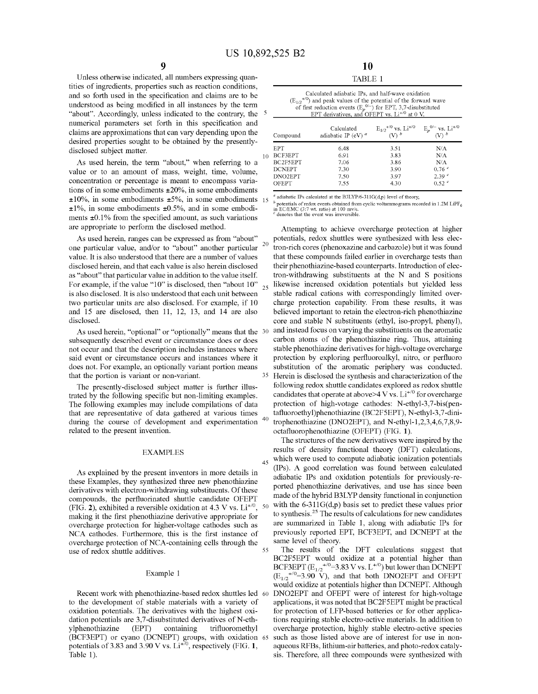Unless otherwise indicated, all numbers expressing quantities of ingredients, properties such as reaction conditions, and so forth used in the specification and claims are to be understood as being modified in all instances by the term "about". Accordingly, unless indicated to the contrary, the  $5$ numerical parameters set forth in this specification and claims are approximations that can vary depending upon the desired properties sought to be obtained by the presentlydisclosed subject matter. 10

As used herein, the term "about," when referring to a value or to an amount of mass, weight, time, volume, concentration or percentage is meant to encompass variations of in some embodiments ±20%, in some embodiments  $\pm 10\%$ , in some embodiments  $\pm 5\%$ , in some embodiments 15  $\pm 1\%$ , in some embodiments  $\pm 0.5\%$ , and in some embodiments  $\pm 0.1\%$  from the specified amount, as such variations are appropriate to perform the disclosed method.

As used herein, ranges can be expressed as from "about" one particular value, and/or to "about" another particular  $20$ value. It is also understood that there are a number of values disclosed herein, and that each value is also herein disclosed as "about" that particular value in addition to the value itself. For example, if the value "10" is disclosed, then "about 10"  $_{25}$ is also disclosed. It is also understood that each unit between two particular units are also disclosed. For example, if 10 and 15 are disclosed, then 11, 12, 13, and 14 are also disclosed.

As used herein, "optional" or "optionally" means that the 30 subsequently described event or circumstance does or does not occur and that the description includes instances where said event or circumstance occurs and instances where it does not. For example, an optionally variant portion means that the portion is variant or non-variant.

The presently-disclosed subject matter is further illustrated by the following specific but non-limiting examples. The following examples may include compilations of data that are representative of data gathered at various times during the course of development and experimentation related to the present invention.

#### EXAMPLES

As explained by the present inventors in more details in these Examples, they synthesized three new phenothiazine derivatives with electron-withdrawing substituents. Of these compounds, the perfluorinated shuttle candidate OFEPT (FIG. 2), exhibited a reversible oxidation at 4.3 V vs.  $Li^{+/0}$ , 50 making it the first phenothiazine derivative appropriate for overcharge protection for higher-voltage cathodes such as NCA cathodes. Furthermore, this is the first instance of overcharge protection of NCA-containing cells through the use of redox shuttle additives.

#### Example 1

Recent work with phenothiazine-based redox shuttles led to the development of stable materials with a variety of oxidation potentials. The derivatives with the highest oxidation potentials are 3,7-disubstituted derivatives of N-ethylphenothiazine (EPT) containing trifluoromethyl (BCF3EPT) or cyano (DCNEPT) groups, with oxidation potentials of 3.83 and 3.90 V vs.  $Li^{+/0}$ , respectively (FIG. 1, Table 1).

| 10      |  |
|---------|--|
| TABLE 1 |  |

| Calculated adiabatic IPs, and half-wave oxidation<br>$(E_{1/2}^{+/0})$ and peak values of the potential of the forward wave<br>of first reduction events $(E_p^{0/-})$ for EPT, 3,7-disubstituted<br>EPT derivatives, and OFEPT vs. $Li^{+/0}$ at 0 V. |                                      |                                                   |                                               |  |  |  |
|--------------------------------------------------------------------------------------------------------------------------------------------------------------------------------------------------------------------------------------------------------|--------------------------------------|---------------------------------------------------|-----------------------------------------------|--|--|--|
| Compound                                                                                                                                                                                                                                               | Calculated<br>adiabatic IP (eV) $^a$ | $E_{1/2}^{+/0}$ vs. Li <sup>+/0</sup><br>(V) $^b$ | $E_p^{0/-}$ vs. Li <sup>+/0</sup><br>(V) $^b$ |  |  |  |
| <b>EPT</b>                                                                                                                                                                                                                                             | 6.48                                 | 3.51                                              | N/A                                           |  |  |  |
| BCF3EPT<br>BC2F5EPT                                                                                                                                                                                                                                    | 6.91<br>7.06                         | 3.83<br>3.86                                      | N/A<br>N/A                                    |  |  |  |
| <b>DCNEPT</b>                                                                                                                                                                                                                                          | 7.30                                 | 3.90                                              | 0.76c                                         |  |  |  |
| DNO <sub>2</sub> EPT<br>OFEPT                                                                                                                                                                                                                          | 7.50<br>7.55                         | 3.97<br>4.30                                      | 2.39 <sup>c</sup><br>0.52 <sup>c</sup>        |  |  |  |

<sup>a</sup> adiabatic IPs calculated at the B3LYP/6-311G(d,p) level of theory,

<sup>b</sup> potentials of redox events obtained from cyclic voltammograms recorded in 1.2M LiPF<sub>6</sub> in EC/EMC (3:7 wt. ratio) at 100 mv/s. denotes that the event was irreversible

Attempting to achieve overcharge protection at higher potentials, redox shuttles were synthesized with less electron-rich cores (phenoxazine and carbazole) but it was found that these compounds failed earlier in overcharge tests than their phenothiazine-based counterparts. Introduction of electron-withdrawing substituents at the N and S positions likewise increased oxidation potentials but yielded less stable radical cations with correspondingly limited overcharge protection capability. From these results, it was believed important to retain the electron-rich phenothiazine core and stable N substituents (ethyl, iso-propyl, phenyl), and instead focus on varying the substituents on the aromatic carbon atoms of the phenothiazine ring. Thus, attaining stable phenothiazine derivatives for high-voltage overcharge protection by exploring perfluoroalkyl, nitro, or perfluoro substitution of the aromatic periphery was conducted. Herein is disclosed the synthesis and characterization of the following redox shuttle candidates explored as redox shuttle candidates that operate at above  $>4$  V vs. Li<sup>+/0</sup> for overcharge protection of high-votage cathodes: N-ethyl-3,7-bis(pentafluoroethyl)phenothiazine (BC2F5EPT), N-ethyl-3,7-dinitrophenothiazine (DNO2EPT), and N-ethyl-1,2,3,4,6,7,8,9octafluorophenothiazine (OFEPT) (FIG. **1).** 

The structures of the new derivatives were inspired by the results of density functional theory (DFT) calculations,  $45$  which were used to compute adiabatic ionization potentials (IPs). A good correlation was found between calculated adiabatic IPs and oxidation potentials for previously-reported phenothiazine derivatives, and use has since been made of the hybrid B3LYP density functional in conjunction with the  $6-311G(d,p)$  basis set to predict these values prior to synthesis. 25 The results of calculations for new candidates are summarized in Table 1, along with adiabatic IPs for previously reported EPT, BCF3EPT, and DCNEPT at the same level of theory.

The results of the DFT calculations suggest that BC2F5EPT would oxidize at a potential higher than BCF3EPT  $(E_{1/2}^{+/0}=3.83$  V vs.  $L^{+/0}$ ) but lower than DCNEPT  $(E_{1/2}^{+/0}=3.90 \text{ V})$ , and that both DNO2EPT and OFEPT would oxidize at potentials higher than DCNEPT. Although DNO2EPT and OFEPT were of interest for high-voltage applications, it was noted that BC2F5EPT might be practical for protection of LFP-based batteries or for other applications requiring stable electro-active materials. In addition to overcharge protection, highly stable electro-active species such as those listed above are of interest for use in nonaqueous RFBs, lithium-air batteries, and photo-redox catalysis. Therefore, all three compounds were synthesized with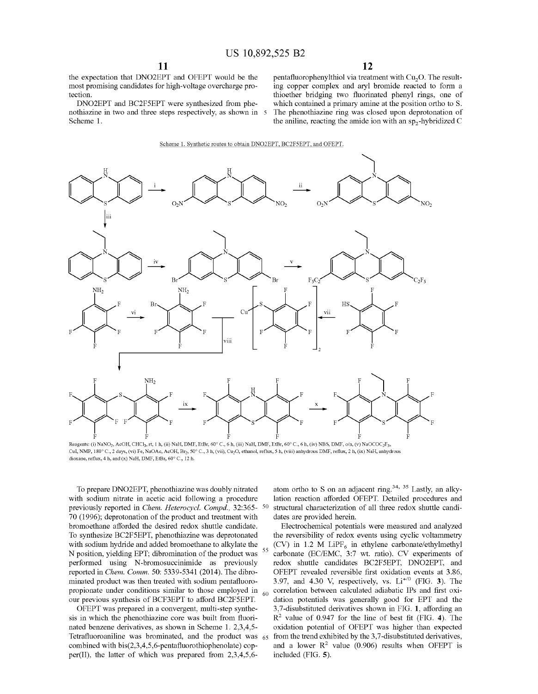the expectation that DNO2EPT and OFEPT would be the most promising candidates for high-voltage overcharge protection.

DNO2EPT and BC2F5EPT were synthesized from phenothiazine in two and three steps respectively, as shown in 5 Scheme 1.

pentafluorophenylthiol via treatment with Cu<sub>2</sub>O. The resulting copper complex and aryl bromide reacted to form a thioether bridging two fluorinated phenyl rings, one of which contained a primary amine at the position ortho to S. The phenothiazine ring was closed upon deprotonation of the aniline, reacting the amide ion with an  $sp_2$ -hybridized C



Reagents: (i) NaNO<sub>2</sub>, AcOH, CHCl<sub>3</sub>, rt, 1 h, (ii) NaH, DMF, EtBr, 60° C., 6 h, (iii) NaH, DMF, EtBr, 60° C., 6 h, (iv) NBS, DMF, o/n, (v) NaOCOC<sub>2</sub>F<sub>5</sub>, CuI, NMP, 180° C., 2 days, (vi) Fe, NaOAc, AcOH, Br<sub>2</sub>, 50° C., 3 h, (vii), Cu<sub>2</sub>O, ethanol, reflux, 5 h, (viii) anhydrous DMF, reflux, 2 h, (ix) NaH, anhydrous dioxane, reflux, 4 h, and (x) NaH, DMF, EtBr,  $60^{\circ}$  C., 12 h.

To prepare DNO2EPT, phenothiazine was doubly nitrated with sodium nitrate in acetic acid following a procedure previously reported in *Chem. Heterocycl. Compd.,* 32:365- 70 (1996); deprotonation of the product and treatment with bromoethane afforded the desired redox shuttle candidate. To synthesize BC2F5EPT, phenothiazine was deprotonated with sodium hydride and added bromoethane to alkylate the N position, yielding EPT; dibromination of the product was performed using N-bromosuccinimide as previously reported in *Chem. Comm.* 50: 5339-5341 (2014). The dibrominated product was then treated with sodium pentafluoropropionate under conditions similar to those employed in  $_{60}$ our previous synthesis of BCF3EPT to afford BC2F5EPT.

OFEPT was prepared in a convergent, multi-step synthesis in which the phenothiazine core was built from fluorinated benzene derivatives, as shown in Scheme 1. 2,3,4,5- Tetrafluoroaniline was brominated, and the product was 65 combined with bis(2,3,4,5,6-pentafluorothiophenolate) copper(II), the latter of which was prepared from 2,3,4,5,6-

atom ortho to S on an adjacent ring.<sup>34, 35</sup> Lastly, an alkylation reaction afforded OFEPT. Detailed procedures and structural characterization of all three redox shuttle candidates are provided herein.

Electrochemical potentials were measured and analyzed the reversibility of redox events using cyclic voltammetry (CV) in 1.2 M LiPF<sub>6</sub> in ethylene carbonate/ethylmethyl carbonate (EC/EMC, 3:7 wt. ratio). CV experiments of redox shuttle candidates BC2F5EPT, DNO2EPT, and OFEPT revealed reversible first oxidation events at 3.86, 3.97, and 4.30 V, respectively, vs. Li<sup>+/0</sup> (FIG. 3). The correlation between calculated adiabatic IPs and first oxidation potentials was generally good for EPT and the 3,7-disubstituted derivatives shown in FIG. **1,** affording an R<sup>2</sup>value of 0.947 for the line of best fit (FIG. **4).** The oxidation potential of OFEPT was higher than expected from the trend exhibited by the 3,7-disubstituted derivatives, and a lower  $R^2$  value (0.906) results when OFEPT is included (FIG. **5).**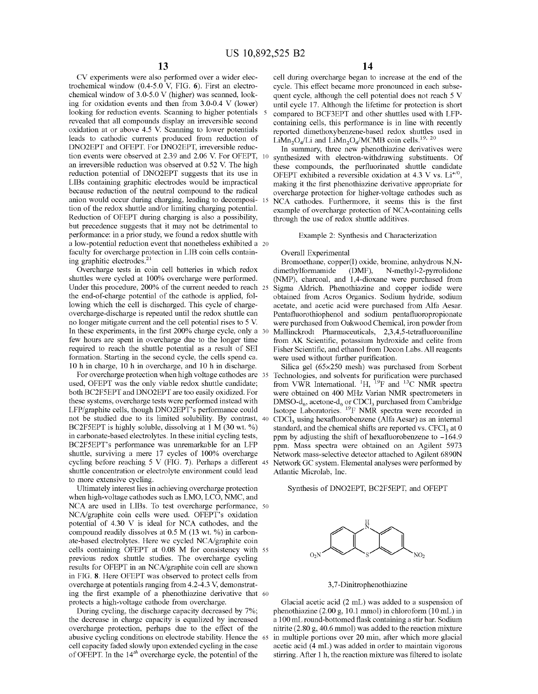CV experiments were also performed over a wider electrochemical window (0.4-5.0 V, FIG. **6).** First an electrochemical window of 3.0-5.0 V (higher) was scanned, looking for oxidation events and then from 3.0-0.4 V (lower) looking for reduction events. Scanning to higher potentials 5 revealed that all compounds display an irreversible second oxidation at or above 4.5 V. Scanning to lower potentials leads to cathodic currents produced from reduction of DNO2EPT and OFEPT. For DNO2EPT, irreversible reduction events were observed at 2.39 and 2.06 V. For OFEPT, 10 an irreversible reduction was observed at 0.52 V. The high reduction potential of DNO2EPT suggests that its use in LIBs containing graphitic electrodes would be impractical because reduction of the neutral compound to the radical anion would occur during charging, leading to decomposi- 15 tion of the redox shuttle and/or limiting charging potential. Reduction of OFEPT during charging is also a possibility, but precedence suggests that it may not be detrimental to performance: in a prior study, we found a redox shuttle with a low-potential reduction event that nonetheless exhibited a 20 faculty for overcharge protection in LIB coin cells containing graphitic electrodes.<sup>21</sup>

Overcharge tests in coin cell batteries in which redox shuttles were cycled at 100% overcharge were performed. Under this procedure, 200% of the current needed to reach 25 the end-of-charge potential of the cathode is applied, following which the cell is discharged. This cycle of chargeovercharge-discharge is repeated until the redox shuttle can no longer mitigate current and the cell potential rises to 5 V. In these experiments, in the first 200% charge cycle, only a 30 few hours are spent in overcharge due to the longer time required to reach the shuttle potential as a result of SEI formation. Starting in the second cycle, the cells spend ca. 10 h in charge, 10 h in overcharge, and 10 h in discharge.

For overcharge protection when high voltage cathodes are 35 used, OFEPT was the only viable redox shuttle candidate; both BC2F5EPT and DNO2EPT are too easily oxidized. For these systems, overcharge tests were performed instead with LFP/graphite cells, though DNO2EPT's performance could not be studied due to its limited solubility. By contrast, 40 BC2F5EPT is highly soluble, dissolving at 1 M (30 wt.%) in carbonate-based electrolytes. In these initial cycling tests, BC2F5EPT's performance was unremarkable for an LFP shuttle, surviving a mere 17 cycles of 100% overcharge cycling before reaching 5 V (FIG. **7).** Perhaps a different 45 shuttle concentration or electrolyte environment could lead to more extensive cycling.

Ultimately interest lies in achieving overcharge protection when high-voltage cathodes such as LMO, LCO, NMC, and NCA are used in LIBs. To test overcharge performance, 50 NCA/graphite coin cells were used. OFEPT's oxidation potential of 4.30 V is ideal for NCA cathodes, and the compound readily dissolves at  $0.5$  M (13 wt. %) in carbonate-based electrolytes. Here we cycled NCA/graphite coin cells containing OFEPT at 0.08 M for consistency with 55 previous redox shuttle studies. The overcharge cycling results for OFEPT in an NCA/graphite coin cell are shown in FIG. **8.** Here OFEPT was observed to protect cells from overcharge at potentials ranging from 4.2-4.3 V, demonstrating the first example of a phenothiazine derivative that 60 protects a high-voltage cathode from overcharge.

During cycling, the discharge capacity decreased by 7%; the decrease in charge capacity is equalized by increased overcharge protection, perhaps due to the effect of the abusive cycling conditions on electrode stability. Hence the 65 cell capacity faded slowly upon extended cycling in the case ofOFEPT. In the 14*th* overcharge cycle, the potential of the

cell during overcharge began to increase at the end of the cycle. This effect became more pronounced in each subsequent cycle, although the cell potential does not reach 5 V until cycle 17. Although the lifetime for protection is short compared to BCF3EPT and other shuttles used with LFPcontaining cells, this performance is in line with recently reported dimethoxybenzene-based redox shuttles used in LiMn<sub>2</sub>O<sub>4</sub>/Li and LiMn<sub>2</sub>O<sub>4</sub>/MCMB coin cells.<sup>19, 20</sup>

In summary, three new phenothiazine derivatives were synthesized with electron-withdrawing substituents. Of these compounds, the perfluorinated shuttle candidate OFEPT exhibited a reversible oxidation at 4.3 V vs.  $Li^{+/0}$ , making it the first phenothiazine derivative appropriate for overcharge protection for higher-voltage cathodes such as NCA cathodes. Furthermore, it seems this is the first example of overcharge protection of NCA-containing cells through the use of redox shuttle additives.

#### Example 2: Synthesis and Characterization

#### Overall Experimental

Bromoethane, copper(I) oxide, bromine, anhydrous N,Ndimethylformamide (DMF), N-methyl-2-pyrrolidone (NMP), charcoal, and 1,4-dioxane were purchased from Sigma Aldrich. Phenothiazine and copper iodide were obtained from Acros Organics. Sodium hydride, sodium acetate, and acetic acid were purchased from Alfa Aesar. Pentafluorothiophenol and sodium pentafluoropropionate were purchased from Oakwood Chemical, iron powder from Mallinckrodt Pharmaceuticals, 2,3,4,5-tetrafluoroaniline from AK Scientific, potassium hydroxide and celite from Fisher Scientific, and ethanol from Decon Labs. All reagents were used without further purification.

Silica gel (65x250 mesh) was purchased from Sorbent Technologies, and solvents for purification were purchased from VWR International. <sup>1</sup>H, <sup>19</sup>F and <sup>13</sup>C NMR spectra were obtained on 400 MHz Varian NMR spectrometers in DMSO-d<sub>6</sub>, acetone-d<sub>6</sub> or CDCl<sub>3</sub> purchased from Cambridge Isotope Laboratories. 19F NMR spectra were recorded in CDC13 using hexafluorobenzene (Alfa Aesar) as an internal standard, and the chemical shifts are reported vs.  $CFC1<sub>3</sub>$  at 0 ppm by adjusting the shift of hexafluorobenzene to  $-164.9$ ppm. Mass spectra were obtained on an Agilent 5973 Network mass-selective detector attached to Agilent 6890N Network GC system. Elemental analyses were performed by Atlantic Microlab, Inc.

Synthesis of DNO2EPT, BC2F5EPT, and OFEPT



3, 7 -Dinitrophenothiazine

Glacial acetic acid (2 mL) was added to a suspension of phenothiazine (2.00 g, 10.1 mmol) in chloroform (10 mL) in a 100 mL round-bottomed flask containing a stir bar. Sodium nitrite (2.80 g, 40.6 mmol) was added to the reaction mixture in multiple portions over 20 min, after which more glacial acetic acid (4 mL) was added in order to maintain vigorous stirring. After 1 h, the reaction mixture was filtered to isolate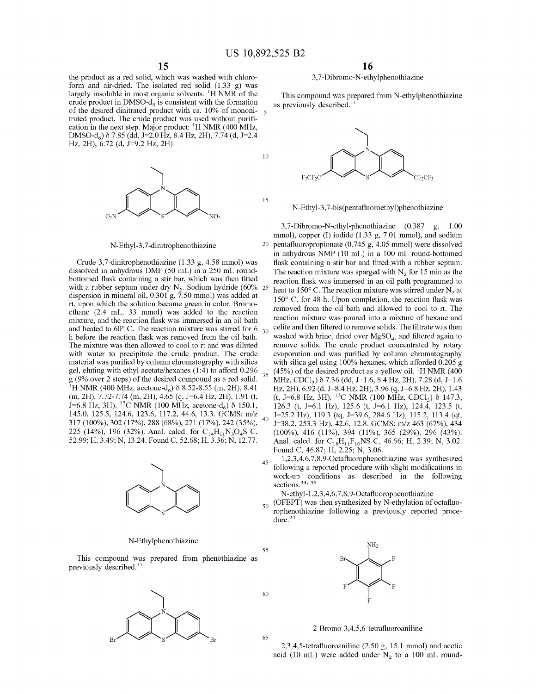15

55

60

65

the product as a red solid, which was washed with chloroform and air-dried. The isolated red solid (1.33 g) was largely insoluble in most organic solvents.  ${}^{1}$ H NMR of the crude product in DMSO- $d_6$  is consistent with the formation of the desired dinitrated product with ca. 10% of mononi- <sup>5</sup> trated product. The crude product was used without purification in the next step. Major product:  $\rm{^1H}$  NMR (400 MHz, DMSO-d<sub>6</sub>) δ 7.85 (dd, J=2.0 Hz, 8.4 Hz, 2H), 7.74 (d, J=2.4 Hz, 2H), 6.72 (d, *1=9.2* Hz, 2H).



N-Ethyl-3, 7-dinitrophenothiazine

Crude 3,7-dinitrophenothiazine (1.33 g, 4.58 mmol) was dissolved in anhydrous DMF (50 mL) in a 250 mL roundbottomed flask containing a stir bar, which was then fitted with a rubber septum under dry  $N_2$ . Sodium hydride (60% dispersion in mineral oil, 0.301 g, 7.50 mmol) was added at rt, upon which the solution became green in color. Bromoethane (2.4 mL, 33 mmol) was added to the reaction mixture, and the reaction flask was immersed in an oil bath and heated to  $60^{\circ}$  C. The reaction mixture was stirred for 6  $_{30}$ h before the reaction flask was removed from the oil bath. The mixture was then allowed to cool to rt and was diluted with water to precipitate the crude product. The crude material was purified by colunm chromatography with silica gel, eluting with ethyl acetate/hexanes (1:4) to afford 0.296 g (9% over 2 steps) of the desired compound as a red solid. <sup>1</sup>H NMR (400 MHz, acetone-d<sub>6</sub>)  $\delta$  8.52-8.55 (m, 2H), 8.41 (m, 2H), 7.72-7.74 (m, 2H), 4.65 (q, *1=6.4* Hz, 2H), 1.91 (t,  $\text{J} = 6.8 \text{ Hz}$ , 3H). <sup>13</sup>C NMR (100 MHz, acetone-d<sub>6</sub>)  $\delta$  150.1, 145.0, 125.5, 124.6, 123.6, 117.2, 44.6, 13.3. GCMS: m/z 317 (100%), 302 (17%), 288 (68%), 271 (17%), 242 (35%), 225 (14%), 196 (32%). Anal. calcd. for C<sub>14</sub>H<sub>11</sub>N<sub>3</sub>O<sub>4</sub>S C, 52.99; H, 3.49; N, 13.24. Found C, 52.68; H, 3.36; N, 12.77.



#### N-Ethy lphenothiazine

This compound was prepared from phenothiazine as previously described. $^{11}$ 



#### 3, 7-Dibromo-N-ethylphenothiazine

This compound was prepared from N-ethylphenothiazine as previously described. $^{11}$ 



N-Ethyl-3,7-bis(pentafluoroethyl)phenothiazine

3,7-Dibromo-N-ethyl-phenothiazine (0.387 g, 1.00 mmol), copper (I) iodide (1.33 g, 7.01 mmol), and sodium 20 pentafluoropropionate (0.745 g, 4.05 mmol) were dissolved in anhydrous NMP (10 mL) in a 100 mL round-bottomed flask containing a stir bar and fitted with a rubber septum. The reaction mixture was sparged with  $N_2$  for 15 min as the reaction flask was immersed in an oil path programmed to heat to 150 $^{\circ}$  C. The reaction mixture was stirred under N<sub>2</sub> at 150° C. for 48 h. Upon completion, the reaction flask was removed from the oil bath and allowed to cool to rt. The reaction mixture was poured into a mixture of hexane and celite and then filtered to remove solids. The filtrate was then washed with brine, dried over  $MgSO<sub>4</sub>$ , and filtered again to remove solids. The crude product concentrated by rotary evaporation and was purified by colunm chromatography with silica gel using 100% hexanes, which afforded 0.205 g  $35$  (45%) of the desired product as a yellow oil. <sup>1</sup>H NMR (400 MHz, CDCl<sub>3</sub>) δ 7.36 (dd, J=1.6, 8.4 Hz, 2H), 7.28 (d, J=1.6 Hz, 2H), 6.92 (d, 1=8.4 Hz, 2H), 3.96 (q, 1=6.8 Hz, 2H), 1.43 (t, J=6.8 Hz, 3H). <sup>13</sup>C NMR (100 MHz, CDCl<sub>3</sub>)  $\delta$  147.3, 126.3 (t, *1=6.l* Hz), 125.6 (t, *1=6.l* Hz), 124.4, 123.5 (t, <sup>40</sup>*1=25.2* Hz), 119.3 (tq, *1=39.6,* 284.6 Hz), 115.2, 113.4 (qt, 1=38.2, 253.3 Hz), 42.6, 12.8. GCMS: m/z 463 (67%), 434 (100%), 416 (11%), 394 (11%), 365 (29%), 296 (43%). Anal. calcd. for  $C_{18}H_{11}F_{10}NS$  C, 46.66; H, 2.39; N, 3.02. Found C, 46.87; H, 2.25; N, 3.06.

 $1,2,3,4,6,7,8,9$ -Octafluorophenothiazine was synthesized following a reported procedure with slight modifications in work-up conditions as described in the following sections.<sup>34, 35</sup>

N-ethyl-1,2,3,4,6,7,8,9-Octafluorophenothiazine

 $_{50}$  (OFEPT) was then synthesized by N-ethylation of octafluorophenothiazine following a previously reported procedure. 24



2-Bromo-3,4,5,6-tetrafluoroaniline

2,3,4,5-tetrafluoroaniline (2.50 g, 15.1 mmol) and acetic acid (10 mL) were added under  $N_2$  to a 100 mL round-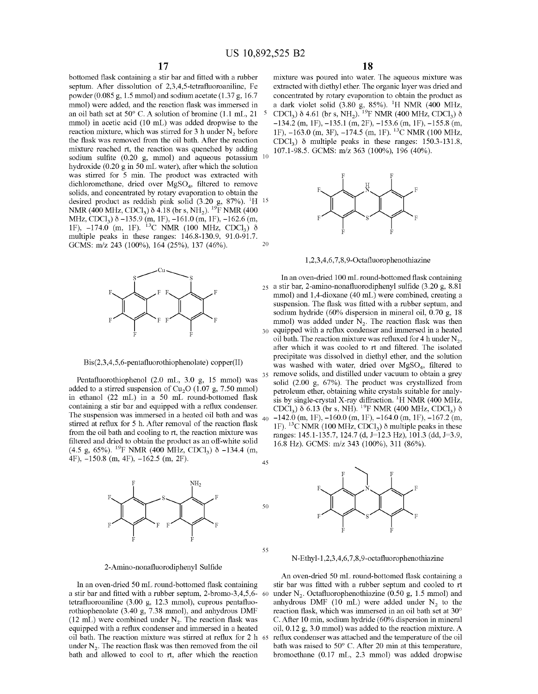55

bottomed flask containing a stir bar and fitted with a rubber septum. After dissolution of 2,3,4,5-tetrafluoroaniline, Fe powder (0.085 g, 1.5 mmol) and sodium acetate (1.37 g, 16.7 mmol) were added, and the reaction flask was immersed in an oil bath set at 50° C. A solution of bromine (1.1 mL, 21 mmol) in acetic acid (10 mL) was added dropwise to the reaction mixture, which was stirred for 3 h under  $N_2$  before the flask was removed from the oil bath. After the reaction mixture reached rt, the reaction was quenched by adding sodium sulfite (0.20 g, mmol) and aqueous potassium hydroxide (0.20 g in 50 mL water), after which the solution was stirred for 5 min. The product was extracted with dichloromethane, dried over MgSO<sub>4</sub>, filtered to remove solids, and concentrated by rotary evaporation to obtain the desired product as reddish pink solid  $(3.20 \text{ g}, 87\%)$ . <sup>1</sup>H <sup>15</sup> NMR (400 MHz, CDCl<sub>3</sub>)  $\delta$  4.18 (br s, NH<sub>2</sub>). <sup>19</sup>F NMR (400 MHz, CDCl<sub>3</sub>)  $\delta$  -135.9 (m, 1F), -161.0 (m, 1F), -162.6 (m, 1F),  $-174.0$  (m, 1F). <sup>13</sup>C NMR (100 MHz, CDCl<sub>3</sub>)  $\delta$ multiple peaks in these ranges: 146.8-130.9, 91.0-91.7. GCMS: m/z 243 (100%), 164 (25%), 137 (46%). 20



Bis(2,3,4,5,6-pentafluorothiophenolate) copper(II)

Pentafluorothiophenol (2.0 mL, 3.0 g, 15 mmol) was added to a stirred suspension of  $Cu<sub>2</sub>O$  (1.07 g, 7.50 mmol) in ethanol (22 mL) in a 50 mL round-bottomed flask containing a stir bar and equipped with a reflux condenser. The suspension was immersed in a heated oil bath and was stirred at reflux for 5 h. After removal of the reaction flask from the oil bath and cooling to rt, the reaction mixture was filtered and dried to obtain the product as an off-white solid (4.5 g, 65%). <sup>19</sup>F NMR (400 MHz, CDCl<sub>3</sub>)  $\delta$  -134.4 (m, 4F), -150.8 (m, 4F), -162.5 (m, 2F). 45



#### 2-Amino-nonafluorodiphenyl Sulfide

In an oven-dried 50 mL round-bottomed flask containing a stir bar and fitted with a rubber septum, 2-bromo-3,4,5,6 tetrafluoroaniline (3.00 g, 12.3 mmol), cuprous pentafluorothiophenolate (3.40 g, 7.38 mmol), and anhydrous DMF (12 mL) were combined under  $N_2$ . The reaction flask was equipped with a reflux condenser and immersed in a heated oil bath. The reaction mixture was stirred at reflux for 2 h under  $N<sub>2</sub>$ . The reaction flask was then removed from the oil bath and allowed to cool to rt, after which the reaction

# **18**

mixture was poured into water. The aqueous mixture was extracted with diethyl ether. The organic layer was dried and concentrated by rotary evaporation to obtain the product as a dark violet solid  $(3.80 \text{ g}, 85\%)$ . <sup>1</sup>H NMR  $(400 \text{ MHz},$ CDCl<sub>3</sub>)  $\delta$  4.61 (br s, NH<sub>2</sub>). <sup>19</sup>F NMR (400 MHz, CDCl<sub>3</sub>)  $\delta$  $-134.2$  (m, 1F),  $-135.1$  (m, 2F),  $-153.6$  (m, 1F),  $-155.8$  (m, 1F),  $-163.0$  (m, 3F),  $-174.5$  (m, 1F), <sup>13</sup>C NMR (100 MHz, CDCl<sub>3</sub>)  $\delta$  multiple peaks in these ranges: 150.3-131.8, 107.1-98.5. GCMS: m/z 363 (100%), 196 (40%). 10



1,2,3,4,6, 7,8,9-Octafluorophenothiazine

In an oven-dried 100 mL round-bottomed flask containing 25 a stir bar, 2-amino-nonafluorodiphenyl sulfide (3.20 g, 8.81 mmol) and 1,4-dioxane (40 mL) were combined, creating a suspension. The flask was fitted with a rubber septum, and sodium hydride (60% dispersion in mineral oil, 0.70 g, 18 mmol) was added under  $N_2$ . The reaction flask was then 30 equipped with a reflux condenser and immersed in a heated oil bath. The reaction mixture was refluxed for 4 h under  $N_2$ , after which it was cooled to rt and filtered. The isolated precipitate was dissolved in diethyl ether, and the solution was washed with water, dried over  $MgSO<sub>4</sub>$ , filtered to 35 remove solids, and distilled under vacuum to obtain a grey solid (2.00 g, 67%). The product was crystallized from petroleum ether, obtaining white crystals suitable for analysis by single-crystal X-ray diffraction. <sup>1</sup>H NMR (400 MHz, CDC1<sub>3</sub>)  $\delta$  6.13 (br s, NH). <sup>19</sup>F NMR (400 MHz, CDC1<sub>3</sub>)  $\delta$  $-142.0$  (m, 1F),  $-160.0$  (m, 1F),  $-164.0$  (m, 1F),  $-167.2$  (m, 1F). <sup>13</sup>C NMR (100 MHz, CDCl<sub>3</sub>)  $\delta$  multiple peaks in these ranges: 145.1-135.7, 124.7 (d, J=12.3 Hz), 101.3 (dd, J=3.9, 16.8 Hz). GCMS: m/z 343 (100%), 311 (86%).



N-Ethyl-1,2,3,4,6,7,8,9-octafluorophenothiazine

An oven-dried 50 mL round-bottomed flask containing a stir bar was fitted with a rubber septum and cooled to rt under  $N_2$ . Octafluorophenothiazine (0.50 g, 1.5 mmol) and anhydrous DMF (10 mL) were added under  $N_2$  to the reaction flask, which was immersed in an oil bath set at 30° C. After 10 min, sodium hydride (60% dispersion in mineral oil, 0.12 g, 3.0 mmol) was added to the reaction mixture. A reflux condenser was attached and the temperature of the oil bath was raised to 50° C. After 20 min at this temperature, bromoethane (0.17 mL, 2.3 mmol) was added dropwise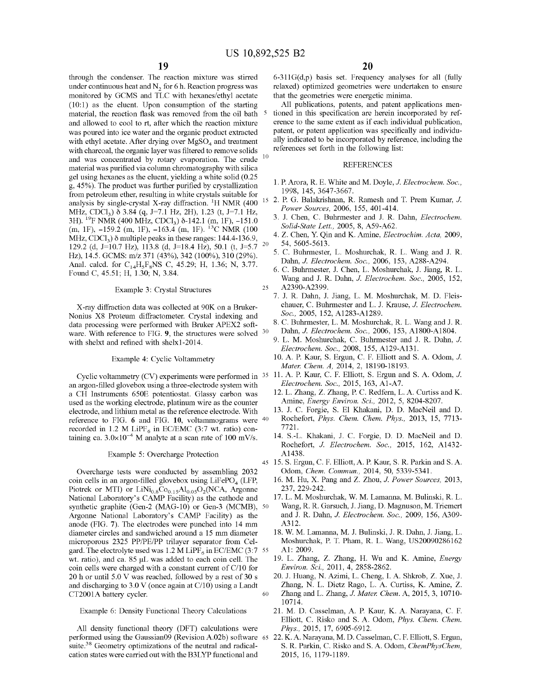through the condenser. The reaction mixture was stirred under continuous heat and  $N<sub>2</sub>$  for 6 h. Reaction progress was monitored by GCMS and TLC with hexanes/ethyl acetate (10:1) as the eluent. Upon consumption of the starting material, the reaction flask was removed from the oil bath 5 and allowed to cool to rt, after which the reaction mixture was poured into ice water and the organic product extracted with ethyl acetate. After drying over  $MgSO<sub>4</sub>$  and treatment with charcoal, the organic layer was filtered to remove solids and was concentrated by rotary evaporation. The crude material was purified via column chromatography with silica gel using hexanes as the eluent, yielding a white solid (0.25 g, 45% ). The product was further purified by crystallization from petroleum ether, resulting in white crystals suitable for analysis by single-crystal X-ray diffraction.  ${}^{1}$ H NMR (400  ${}^{15}$ MHz, CDCl<sub>3</sub>)  $\delta$  3.84 (q, J=7.1 Hz, 2H), 1.23 (t, J=7.1 Hz, 3H). <sup>19</sup>F NMR (400 MHz, CDCl<sub>3</sub>) δ-142.1 (m, 1F), -151.0 (m, 1F),  $-159.2$  (m, 1F),  $-163.4$  (m, 1F). <sup>13</sup>C NMR (100) MHz,  $CDCl<sub>3</sub>$ )  $\delta$  multiple peaks in these ranges: 144.4-136.9, 129.2 (d, J=10.7 Hz), 113.8 (d, J=18.4 Hz), 50.1 (t, J=5.7 <sup>20</sup> Hz), 14.5. GCMS: m/z 371 (43%), 342 (100%), 310 (29%). Anal. calcd. for  $C_{14}H_5F_8NS$  C, 45.29; H, 1.36; N, 3.77. Found C, 45.51; H, 1.30; N, 3.84.

# Example 3: Crystal Structures 25

X-ray diffraction data was collected at 90K on a Bruker-Nonius XS Proteum diffractometer. Crystal indexing and data processing were performed with Bruker APEX2 software. With reference to FIG. 9, the structures were solved <sup>30</sup> with shelxt and refined with shelxl-2014.

Example 4: Cyclic Voltammetry

an argon-filled glovebox using a three-electrode system with a CH Instruments 650E potentiostat. Glassy carbon was used as the working electrode, platinum wire as the counter electrode, and lithium metal as the reference electrode. With reference to FIG. **6** and FIG. **10,** voltammograms were 40 recorded in 1.2 M LiPF<sub>6</sub> in EC/EMC (3:7 wt. ratio) containing ca.  $3.0 \times 10^{-4}$  M analyte at a scan rate of 100 mV/s.

Example 5: Overcharge Protection

Overcharge tests were conducted by assembling 2032 coin cells in an argon-filled glovebox using  $LiFePO<sub>4</sub> (LFP,$ Piotrek or MTI) or  $LiNi_{0.8}Co_{0.15}Al_{0.05}O_2(NCA, Argonne)$ National Laboratory's CAMP Facility) as the cathode and synthetic graphite (Gen-2 (MAG-10) or Gen-3 (MCMB), 50 Argonne National Laboratory's CAMP Facility) as the anode (FIG. **7).** The electrodes were punched into 14 mm diameter circles and sandwiched around a 15 mm diameter microporous 2325 PP/PE/PP trilayer separator from Celgard. The electrolyte used was  $1.2$  M LiPF<sub>6</sub> in EC/EMC (3:7 55) wt. ratio), and ca. 85 µL was added to each coin cell. The coin cells were charged with a constant current of C/10 for 20 h or until 5.0 V was reached, followed by a rest of 30 s and discharging to 3.0 V (once again at C/10) using a Landt CT2001A battery cycler. 60

Example 6: Density Functional Theory Calculations

All density functional theory (DFT) calculations were *Phys.,* 2015, 17, 6905-6912. performed using the Gaussian09 (Revision A.02b) software suite.<sup>38</sup> Geometry optimizations of the neutral and radicalcation states were carried out with the B3LYP functional and

 $6-311G(d,p)$  basis set. Frequency analyses for all (fully relaxed) optimized geometries were undertaken to ensure that the geometries were energetic minima.

All publications, patents, and patent applications mentioned in this specification are herein incorporated by reference to the same extent as if each individual publication, patent, or patent application was specifically and individually indicated to be incorporated by reference, including the references set forth in the following list:

#### **REFERENCES**

- 1. P. Arora, R. E. White and M. Doyle, J. *Electrochem. Soc.,*  1998, 145, 3647-3667.
- 2. P. G. Balakrishnan, R. Ramesh and T. Prem Kumar, J. *Power Sources,* 2006, 155, 401-414.
	- 3. J. Chen, C. Buhrmester and J. R. Dahn, *Electrochem. Solid-State Lett.,* 2005, 8, A59-A62.
	- 4. Z. Chen, Y. Qin and K. Amine, *Electrochim. Acta,* 2009, 54, 5605-5613.
	- 5. C. Buhrmester, L. Moshurchak, R. L. Wang and J. R. Dahn, J. *Electrochem. Soc.,* 2006, 153, A288-A294.
	- 6. C. Buhrmester, J. Chen, L. Moshurchak, J. Jiang, R. L. Wang and J. R. Dahn, J. *Electrochem. Soc.,* 2005, 152, A2390-A2399.
	- 7. J. R. Dahn, J. Jiang, L. M. Moshurchak, M. D. Fleischauer, C. Buhrmester and L. J. Krause, J. *Electrochem. Soc.,* 2005, 152, A1283-A1289.
	- 8. C. Buhrmester, L. M. Moshurchak, R. L. Wang and J. R. Dahn, J. *Electrochem. Soc.,* 2006, 153, A1800-A1804.
	- 9. L. M. Moshurchak, C. Buhrmester and J. R. Dahn, J. *Electrochem. Soc.,* 2008, 155, A129-A131.
	- 10. A. P. Kaur, S. Ergun, C. F. Elliott and S. A. Odom, J. *Mater. Chem. A,* 2014, 2, 18190-18193.
- Cyclic voltammetry (CV) experiments were performed in 35 11. A. P. Kaur, C. F. Elliott, S. Ergun and S. A. Odom, J. *Electrochem. Soc., 2015, 163, A1-A7.* 
	- 12. L. Zhang, Z. Zhang, P. C. Redfern, L.A. Curtiss and K. Amine, *Energy Environ. Sci.,* 2012, 5, 8204-8207.
	- 13. J. C. Forgie, S. El Khakani, D. D. MacNeil and D. Rochefort, *Phys. Chem. Chem. Phys.,* 2013, 15, 7713- 7721.
	- 14. S.-L. Khakani, J. C. Forgie, D. D. MacNeil and D. Rochefort, J. *Electrochem. Soc.,* 2015, 162, A1432- A1438.
	- 45 15. S. Ergun, C. F. Elliott, A. P. Kaur, S. R. Parkin and S. A. Odom, *Chem. Commun.,* 2014, 50, 5339-5341.
		- 16. M. Hu, X. Pang and Z. Zhou, J. *Power Sources,* 2013, 237, 229-242.
		- 17. L. M. Moshurchak, W. M. Lamanna, M. Bulinski, R. L. Wang, R.R. Garsuch, J. Jiang, D. Magnuson, M. Triemert and J. R. Dahn, J. *Electrochem. Soc.,* 2009, 156, A309- A312.
		- 18. W. M. Lamanna, M. J. Bulinski, J. R. Dahn, J. Jiang, L. Moshurchak, P. T. Pham, R. L. Wang, US20090286162 Al: 2009.
		- 19. L. Zhang, Z. Zhang, H. Wu and K. Amine, *Energy Environ. Sci.,* 2011, 4, 2858-2862.
		- 20. J. Huang, N. Azimi, L. Cheng, I. A. Shkrob, Z. Xue, J. Zhang, N. L. Dietz Rago, L. A. Curtiss, K. Amine, Z. Zhang and L. Zhang, J. *Mater. Chem.* A, 2015, 3, 10710- 10714.
		- 21. M. D. Casselman, A. P. Kaur, K. A. Narayana, C. F. Elliott, C. Risko and S. A. Odom, *Phys. Chem. Chem.*
		- 22. K. A. Narayana, M. D. Casselman, C. F. Elliott, S. Ergun, S. R. Parkin, C. Risko and S. A. Odom, *ChemPhysChem,*  2015, 16, 1179-1189.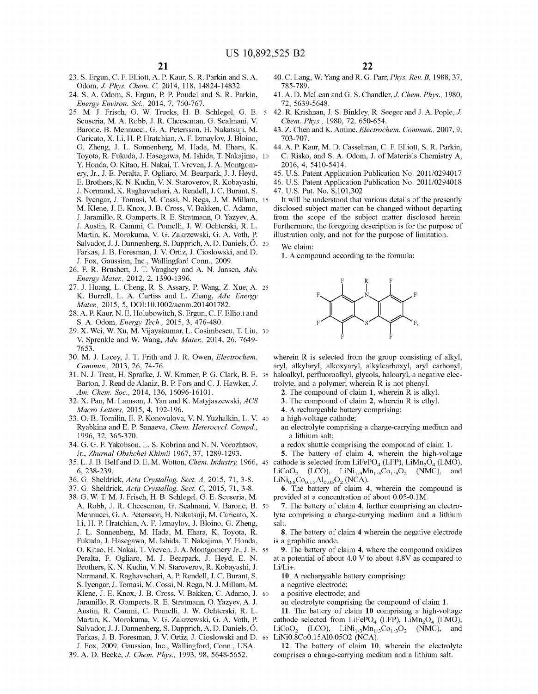- 23. S. Ergun, C. F. Elliott, A. P. Kaur, S. R. Parkin and S. A. Odom, *J. Phys. Chem.* C, 2014, 118, 14824-14832.
- 24. S. A. Odom, S. Ergun, P. P. Poudel and S. R. Parkin, *Energy Environ. Sci.,* 2014, 7, 760-767.
- 25. M. J. Frisch, G. W. Trucks, H. B. Schlegel, G. E. 5 Scuseria, M.A. Robb, J. R. Cheeseman, G. Scalmani, V. Barone, B. Mennucci, G. A. Petersson, H. Nakatsuji, M. Caricato, X. Li, H.P. Hratchian, A. F. Izmaylov, J. Bloino, G. Zheng, J. L. Sonnenberg, M. Hada, M. Ehara, K. Toyota, R. Fukuda, J. Hasegawa, M. Ishida, T. Nakajima, 10 Y. Honda, 0. Kitao, H. Nakai, T. Vreven, J. A. Montgomery, Jr., J.E. Peralta, F. Ogliaro, M. Bearpark, J. J. Heyd, E. Brothers, K. N. Kudin, V. N. Staroverov, R. Kobayashi, J. Normand, K. Raghavachari, A. Rendell, J.C. Burant, S. S. Iyengar, J. Tomasi, M. Cossi, N. Rega, J. M. Millam, 15 M. Klene, J.E. Knox, J.B. Cross, V. Bakken, C. Adamo, J. Jaramillo, R. Gomperts, R. E. Stratmann, 0. Yazyev, A. J. Austin, R. Canrmi, C. Pomelli, J. W. Ochterski, R. L. Martin, K. Morokuma, V. G. Zakrzewski, G. A. Voth, P. Salvador, J. J. Dannenberg, S. Dapprich, A. D. Daniels, Ö. 20 Farkas, J.B. Foresman, J. V. Ortiz, J. Cioslowski, and D. J. Fox, Gaussian, Inc., Wallingford Conn., 2009.
- 26. F. R. Brushett, J. T. Vaughey and A. N. Jansen, *Adv. Energy Mater.,* 2012, 2, 1390-1396.
- 27. J. Huang, L. Cheng, R. S. Assary, P. Wang, Z. Xue, A. 25 K. Burrell, L. A. Curtiss and L. Zhang, *Adv. Energy Mater.,* 2015, 5, DOI:10.1002/aenm.201401782.
- 28. A. P. Kaur, N. E. Holubowitch, S. Ergun, C. F. Elliott and S. A. Odom, *Energy Tech.,* 2015, 3, 476-480.
- 29. X. Wei, W. Xu, M. Vijayakumar, L. Cosimbescu, T. Liu, 30 V. Sprenkle and W. Wang, *Adv. Mater.,* 2014, 26, 7649- 7653.
- 30. M. J. Lacey, J. T. Frith and J. R. Owen, *Electrochem. Commun.,* 2013, 26, 74-76.
- 31. N. J. Treat, H. Sprafke, J. W. Kramer, P. G. Clark, B. E. Barton, J. Read de Alaniz, B. P. Fors and C. J. Hawker, J. *Am. Chem. Soc.,* 2014, 136, 16096-16101.
- 32. X. Pan, M. Lamson, J. Yan and K. Matyjaszewski, *ACS Macro Letters,* 2015, 4, 192-196.
- 33. 0. B. Tomilin, E. P. Konovalova, V. N. Yuzhalkin, L. V. 40 Ryabkina and E. P. Sanaeva, *Chem. Heterocycl. Compd.,*  1996, 32, 365-370.
- 34. G. G. F. Yakobson, L. S. Kobrina and N. N. Vorozhtsov, a redox shuttle comprising the compound of claim **1.**  Jr., *Zhurnal Obshchei Khimii* 1967, 37, 1289-1293.
- 6, 238-239.
- 36. G. Sheldrick, *Acta Crystallog. Sect. A,* 2015, 71, 3-8.
- 37. G. Sheldrick, *Acta Crystallog. Sect.* C, 2015, 71, 3-8.
- 38. G. W. T. M. J. Frisch, H.B. Schlegel, G. E. Scuseria, M. A. Robb, J. R. Cheeseman, G. Scalmani, V. Barone, B. 50 Mennucci, G. A. Petersson, H. Nakatsuji, M. Caricato, X. Li, H. P. Hratchian, A. F. Izmaylov, J. Bloino, G. Zheng, J. L. Sonnenberg, M. Hada, M. Ehara, K. Toyota, R. Fukuda, J. Hasegawa, M. Ishida, T. Nakajima, Y. Honda, 0. Kitao, H. Nakai, T. Vreven, J. A. Montgomery Jr., J.E. 55 Peralta, F. Ogliaro, M. J. Bearpark, J. Heyd, E. N. Brothers, K. N. Kudin, V. N. Staroverov, R. Kobayashi, J. Normand, K. Raghavachari, A. P. Rendell, J.C. Burant, S. S. Iyengar, J. Tomasi, M. Cossi, N. Rega, N. J. Millam, M. Klene, J.E. Knox, J.B. Cross, V. Bakken, C. Adamo, J. 60 Jaramillo, R. Gomperts, R. E. Stratmann, 0. Yazyev, A. J. Austin, R. Canrmi, C. Pomelli, J. W. Ochterski, R. L. Martin, K. Morokuma, V. G. Zakrzewski, G. A. Voth, P. Salvador, J. J. Dannenberg, S. Dapprich, A. D. Daniels, Ö. Farkas, J.B. Foresman, J. V. Ortiz, J. Cioslowski and D. 65 J. Fox, 2009, Gaussian, Inc., Wallingford, Conn., USA.
- 39. A. D. Becke, J. *Chem. Phys.,* 1993, 98, 5648-5652.
- 40. C. Lang, W. Yang and R. G. Parr, *Phys. Rev. B,* 1988, 37, 785-789.
- 41. A. D. McLean and G. S. Chandler, *J. Chem. Phys.,* 1980, 72, 5639-5648.
- 42. R. Krishnan, J. S. Binkley, R. Seeger and J. A. Pople, J. *Chem. Phys.,* 1980, 72, 650-654.
- 43. Z. Chen and K. Amine, *Electrochem. Commun.,* 2007, 9, 703-707.
- 44. A. P. Kaur, M. D. Casselman, C. F. Elliott, S. R. Parkin, C. Risko, and S. A. Odom, J. of Materials Chemistry A, 2016, 4, 5410-5414.
- 45. U.S. Patent Application Publication No. 2011/0294017 46. U.S. Patent Application Publication No. 2011/0294018
- 47. U.S. Pat. No. 8,101,302

It will be understood that various details of the presently disclosed subject matter can be changed without departing from the scope of the subject matter disclosed herein. Furthermore, the foregoing description is for the purpose of illustration only, and not for the purpose of limitation.

We claim:

**1.** A compound according to the formula:



wherein R is selected from the group consisting of alkyl, aryl, alkylaryl, alkoxyaryl, alkylcarboxyl, aryl carbonyl, haloalkyl, perfluoroalkyl, glycols, haloaryl, a negative electrolyte, and a polymer; wherein R is not phenyl.

**2.** The compound of claim **1,** wherein R is alkyl.

- **3.** The compound of claim **2,** wherein R is ethyl.
- **4.** A rechargeable battery comprising:
- a high-voltage cathode;
- an electrolyte comprising a charge-carrying medium and a lithium salt;

**5.** The battery of claim **4,** wherein the high-voltage

35. L. J. B. Belf and D. E. M. Wotton, *Chem. Industry*, 1966, 45 cathode is selected from LiFePO<sub>4</sub> (LFP), LiMn<sub>2</sub>O<sub>4</sub> (LMO), LiCoO<sub>2</sub> (LCO), LiNi<sub>1/3</sub>Mn<sub>1/3</sub>Co<sub>1/3</sub>O<sub>2</sub> (NMC), and  $LiNi_{0.8}Co_{0.15}Al_{0.05}O_2$  (NCA).

**6.** The battery of claim **4,** wherein the compound is provided at a concentration of about 0.05-0.lM.

- **7.** The battery of claim **4,** further comprising an electrolyte comprising a charge-carrying medium and a lithium salt.
- **8.** The battery of claim **4** wherein the negative electrode is a graphitic anode.

**9.** The battery of claim **4,** where the compound oxidizes at a potential of about 4.0 V to about 4.8V as compared to  $Li/Li+$ .

**10.** A rechargeable battery comprising:

- a negative electrode;
- a positive electrode; and
- an electrolyte comprising the compound of claim **1.**
- **11.** The battery of claim **10** comprising a high-voltage cathode selected from LiFePO<sub>4</sub> (LFP), LiMn<sub>2</sub>O<sub>4</sub> (LMO), LiCoO<sub>2</sub> (LCO), LiN<sub>1/2</sub>M<sub>n<sub>1/2</sub>C<sub>01/2</sub>O<sub>2</sub> (NMC), and</sub> LiCoO<sub>2</sub> (LCO), LiNi<sub>1/3</sub>Mn<sub>1/3</sub>Co<sub>1/3</sub>O<sub>2</sub> (NMC), LiNi0.8Co0.15Al0.0502 (NCA).

**12.** The battery of claim **10,** wherein the electrolyte comprises a charge-carrying medium and a lithium salt.